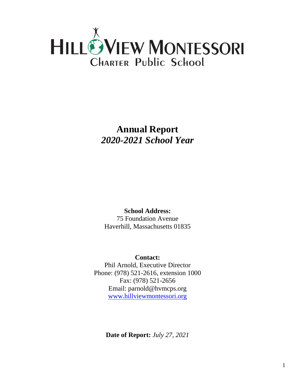

**Annual Report** *2020-2021 School Year*

**School Address:** 75 Foundation Avenue Haverhill, Massachusetts 01835

**Contact:** Phil Arnold, Executive Director Phone: (978) 521-2616, extension 1000 Fax: (978) 521-2656 Email: parnold@hvmcps.org [www.hillviewmontessori.org](http://www.hillviewmontessori.org/)

**Date of Report:** *July 27, 2021*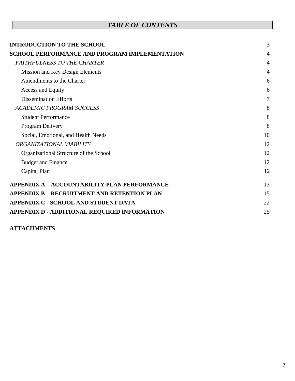## *TABLE OF CONTENTS*

| <b>INTRODUCTION TO THE SCHOOL</b>                    | 3              |
|------------------------------------------------------|----------------|
| <b>SCHOOL PERFORMANCE AND PROGRAM IMPLEMENTATION</b> | $\overline{4}$ |
| <b>FAITHFULNESS TO THE CHARTER</b>                   | 4              |
| Mission and Key Design Elements                      | 4              |
| Amendments to the Charter                            | 6              |
| Access and Equity                                    | 6              |
| <b>Dissemination Efforts</b>                         | 7              |
| <b>ACADEMIC PROGRAM SUCCESS</b>                      | 8              |
| <b>Student Performance</b>                           | 8              |
| Program Delivery                                     | 8              |
| Social, Emotional, and Health Needs                  | 10             |
| ORGANIZATIONAL VIABILITY                             | 12             |
| Organizational Structure of the School               | 12             |
| <b>Budget and Finance</b>                            | 12             |
| Capital Plan                                         | 12             |
| <b>APPENDIX A - ACCOUNTABILITY PLAN PERFORMANCE</b>  | 13             |
| <b>APPENDIX B - RECRUITMENT AND RETENTION PLAN</b>   | 15             |
| APPENDIX C - SCHOOL AND STUDENT DATA                 | 22             |
| APPENDIX D - ADDITIONAL REQUIRED INFORMATION         | 25             |

### **ATTACHMENTS**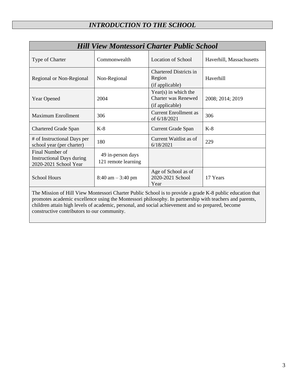## *INTRODUCTION TO THE SCHOOL*

<span id="page-2-0"></span>

| <b>Hill View Montessori Charter Public School</b>                            |                                          |                                                                         |                          |  |
|------------------------------------------------------------------------------|------------------------------------------|-------------------------------------------------------------------------|--------------------------|--|
| Type of Charter                                                              | Commonwealth                             | <b>Location of School</b>                                               | Haverhill, Massachusetts |  |
| Regional or Non-Regional                                                     | Non-Regional                             | <b>Chartered Districts in</b><br>Region<br>(if applicable)              | Haverhill                |  |
| <b>Year Opened</b>                                                           | 2004                                     | $Year(s)$ in which the<br><b>Charter was Renewed</b><br>(if applicable) | 2008; 2014; 2019         |  |
| <b>Maximum Enrollment</b>                                                    | 306                                      | <b>Current Enrollment as</b><br>of 6/18/2021                            | 306                      |  |
| <b>Chartered Grade Span</b>                                                  | $K-8$                                    | <b>Current Grade Span</b>                                               | $K-8$                    |  |
| # of Instructional Days per<br>school year (per charter)                     | 180                                      | Current Waitlist as of<br>6/18/2021                                     | 229                      |  |
| Final Number of<br><b>Instructional Days during</b><br>2020-2021 School Year | 49 in-person days<br>121 remote learning |                                                                         |                          |  |
| <b>School Hours</b>                                                          | $8:40 \text{ am} - 3:40 \text{ pm}$      | Age of School as of<br>2020-2021 School<br>Year                         | 17 Years                 |  |

The Mission of Hill View Montessori Charter Public School is to provide a grade K-8 public education that promotes academic excellence using the Montessori philosophy. In partnership with teachers and parents, children attain high levels of academic, personal, and social achievement and so prepared, become constructive contributors to our community.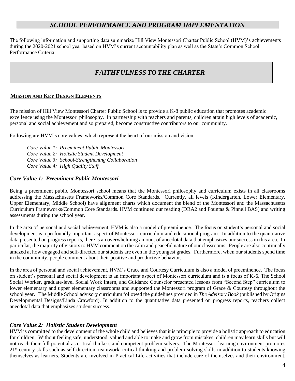### *SCHOOL PERFORMANCE AND PROGRAM IMPLEMENTATION*

<span id="page-3-0"></span>The following information and supporting data summarize Hill View Montessori Charter Public School (HVM)'s achievements during the 2020-2021 school year based on HVM's current accountability plan as well as the State's Common School Performance Criteria.

### *FAITHFULNESS TO THE CHARTER*

#### <span id="page-3-2"></span><span id="page-3-1"></span>**MISSION AND KEY DESIGN ELEMENTS**

The mission of Hill View Montessori Charter Public School is to provide a K-8 public education that promotes academic excellence using the Montessori philosophy. In partnership with teachers and parents, children attain high levels of academic, personal and social achievement and so prepared, become constructive contributors to our community.

Following are HVM's core values, which represent the heart of our mission and vision:

*Core Value 1: Preeminent Public Montessori Core Value 2: Holistic Student Development Core Value 3: School-Strengthening Collaboration Core Value 4: High Quality Staff*

### *Core Value 1: Preeminent Public Montessori*

Being a preeminent public Montessori school means that the Montessori philosophy and curriculum exists in all classrooms addressing the Massachusetts Frameworks/Common Core Standards. Currently, all levels (Kindergarten, Lower Elementary, Upper Elementary, Middle School) have alignment charts which document the blend of the Montessori and the Massachusetts Curriculum Frameworks/Common Core Standards. HVM continued our reading (DRA2 and Fountas & Pinnell BAS) and writing assessments during the school year.

In the area of personal and social achievement, HVM is also a model of preeminence. The focus on student's personal and social development is a profoundly important aspect of Montessori curriculum and educational program. In addition to the quantitative data presented on progress reports, there is an overwhelming amount of anecdotal data that emphasizes our success in this area. In particular, the majority of visitors to HVM comment on the calm and peaceful nature of our classrooms. People are also continually amazed at how engaged and self-directed our students are even in the youngest grades. Furthermore, when our students spend time in the community, people comment about their positive and productive behavior.

In the area of personal and social achievement, HVM's Grace and Courtesy Curriculum is also a model of preeminence. The focus on student's personal and social development is an important aspect of Montessori curriculum and is a focus of K-6. The School Social Worker, graduate-level Social Work Intern, and Guidance Counselor presented lessons from "Second Step" curriculum to lower elementary and upper elementary classrooms and supported the Montessori program of Grace & Courtesy throughout the school year. The Middle School advisory curriculum followed the guidelines provided in *The Advisory Book* (published by Origins Developmental Designs/Linda Crawford). In addition to the quantitative data presented on progress reports, teachers collect anecdotal data that emphasizes student success.

### *Core Value 2: Holistic Student Development*

HVM is committed to the development of the whole child and believes that it is principle to provide a holistic approach to education for children. Without feeling safe, understood, valued and able to make and grow from mistakes, children may learn skills but will not reach their full potential as critical thinkers and competent problem solvers. The Montessori learning environment promotes 21<sup>st</sup> century skills such as self-direction, teamwork, critical thinking and problem-solving skills in addition to students knowing themselves as learners. Students are involved in Practical Life activities that include care of themselves and their environment.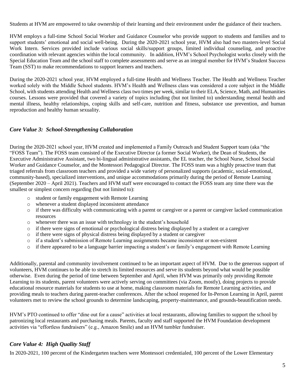Students at HVM are empowered to take ownership of their learning and their environment under the guidance of their teachers.

HVM employs a full-time School Social Worker and Guidance Counselor who provide support to students and families and to support students' emotional and social well-being. During the 2020-2021 school year, HVM also had two masters-level Social Work Intern. Services provided include various social skills/support groups, limited individual counseling, and proactive coordination with relevant agencies within the local community. In addition, HVM's School Psychologist works closely with the Special Education Team and the school staff to complete assessments and serve as an integral member for HVM's Student Success Team (SST) to make recommendations to support learners and teachers.

During the 2020-2021 school year, HVM employed a full-time Health and Wellness Teacher. The Health and Wellness Teacher worked solely with the Middle School students. HVM's Health and Wellness class was considered a core subject in the Middle School, with students attending Health and Wellness class two times per week, similar to their ELA, Science, Math, and Humanities courses. Lessons were provided that covered a variety of topics including (but not limited to) understanding mental health and mental illness, healthy relationships, coping skills and self-care, nutrition and fitness, substance use prevention, and human reproduction and healthy human sexuality.

### *Core Value 3: School-Strengthening Collaboration*

During the 2020-2021 school year, HVM created and implemented a Family Outreach and Student Support team (aka "the "FOSS Team"). The FOSS team consisted of the Executive Director (a former Social Worker), the Dean of Students, the Executive Administrative Assistant, two bi-lingual administrative assistants, the EL teacher, the School Nurse, School Social Worker and Guidance Counselor, and the Montessori Pedagogical Director. The FOSS team was a highly proactive team that triaged referrals from classroom teachers and provided a wide variety of personalized supports (academic, social-emotional, community-based), specialized interventions, and unique accommodations primarily during the period of Remote Learning (September 2020 – April 2021). Teachers and HVM staff were encouraged to contact the FOSS team any time there was the smallest or simplest concern regarding (but not limited to):

- o student or family engagement with Remote Learning
- o whenever a student displayed inconsistent attendance
- $\circ$  if there was difficulty with communicating with a parent or caregiver or a parent or caregiver lacked communication resources
- o whenever there was an issue with technology in the student's household
- o if there were signs of emotional or psychological distress being displayed by a student or a caregiver
- o if there were signs of physical distress being displayed by a student or caregiver
- o if a student's submission of Remote Learning assignments became inconsistent or non-existent
- o if there appeared to be a language barrier impacting a student's or family's engagement with Remote Learning

Additionally, parental and community involvement continued to be an important aspect of HVM. Due to the generous support of volunteers, HVM continues to be able to stretch its limited resources and serve its students beyond what would be possible otherwise. Even during the period of time between September and April, when HVM was primarily only providing Remote Learning to its students, parent volunteers were actively serving on committees (via Zoom, mostly), doing projects to provide educational resource materials for students to use at home, making classroom materials for Remote Learning activities, and providing meals to teachers during parent-teacher conferences. After the school reopened for In-Person Learning in April, parent volunteers met to review the school grounds to determine landscaping, property-maintenance, and grounds-beautification needs.

HVM's PTO continued to offer "dine out for a cause" activities at local restaurants, allowing families to support the school by patronizing local restaurants and purchasing meals. Parents, faculty and staff supported the HVM Foundation development activities via "effortless fundraisers" (e.g., Amazon Smile) and an HVM tumbler fundraiser.

### *Core Value 4: High Quality Staff*

In 2020-2021, 100 percent of the Kindergarten teachers were Montessori credentialed, 100 percent of the Lower Elementary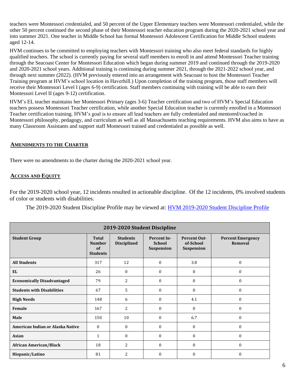teachers were Montessori credentialed, and 50 percent of the Upper Elementary teachers were Montessori credentialed, while the other 50 percent continued the second phase of their Montessori teacher education program during the 2020-2021 school year and into summer 2021. One teacher in Middle School has formal Montessori Adolescent Certification for Middle School students aged 12-14.

HVM continues to be committed to employing teachers with Montessori training who also meet federal standards for highly qualified teachers. The school is currently paying for several staff members to enroll in and attend Montessori Teacher training through the Seacoast Center for Montessori Education which began during summer 2019 and continued through the 2019-2020 and 2020-2021 school years. Additional training is continuing during summer 2021, through the 2021-2022 school year, and through next summer (2022). (HVM previously entered into an arrangement with Seacoast to host the Montessori Teacher Training program at HVM's school location in Haverhill.) Upon completion of the training program, those staff members will receive their Montessori Level I (ages 6-9) certification. Staff members continuing with training will be able to earn their Montessori Level II (ages 9-12) certification.

HVM's EL teacher maintains her Montessori Primary (ages 3-6) Teacher certification and two of HVM's Special Education teachers possess Montessori Teacher certification, while another Special Education teacher is currently enrolled in a Montessori Teacher certification training. HVM's goal is to ensure all lead teachers are fully credentialed and mentored/coached in Montessori philosophy, pedagogy, and curriculum as well as all Massachusetts teaching requirements. HVM also aims to have as many Classroom Assistants and support staff Montessori trained and credentialed as possible as well.

### <span id="page-5-0"></span>**AMENDMENTS TO THE CHARTER**

There were no amendments to the charter during the 2020-2021 school year.

### <span id="page-5-1"></span>**ACCESS AND EQUITY**

For the 2019-2020 school year, 12 incidents resulted in actionable discipline. Of the 12 incidents, 0% involved students of color or students with disabilities.

The 2019-2020 Student Discipline Profile may be viewed at: [HVM 2019-2020 Student Discipline Profile](https://profiles.doe.mass.edu/ssdr/default.aspx?orgcode=04550000&orgtypecode=5&=04550000&)

| 2019-2020 Student Discipline      |                                                        |                                       |                                                   |                                                |                                     |
|-----------------------------------|--------------------------------------------------------|---------------------------------------|---------------------------------------------------|------------------------------------------------|-------------------------------------|
| <b>Student Group</b>              | <b>Total</b><br><b>Number</b><br>of<br><b>Students</b> | <b>Students</b><br><b>Disciplined</b> | <b>Percent In-</b><br><b>School</b><br>Suspension | <b>Percent Out-</b><br>of-School<br>Suspension | <b>Percent Emergency</b><br>Removal |
| <b>All Students</b>               | 317                                                    | 12                                    | $\theta$                                          | 3.8                                            | $\mathbf{0}$                        |
| <b>EL</b>                         | 26                                                     | $\theta$                              | $\theta$                                          | $\Omega$                                       | $\theta$                            |
| <b>Economically Disadvantaged</b> | 79                                                     | $\overline{2}$                        | $\theta$                                          | $\Omega$                                       | $\mathbf{0}$                        |
| <b>Students with Disabilities</b> | 67                                                     | $5\phantom{.}$                        | $\theta$                                          | $\Omega$                                       | $\mathbf{0}$                        |
| <b>High Needs</b>                 | 148                                                    | 6                                     | $\theta$                                          | 4.1                                            | $\mathbf{0}$                        |
| Female                            | 167                                                    | $\overline{2}$                        | $\mathbf{0}$                                      | $\mathbf{0}$                                   | $\mathbf{0}$                        |
| Male                              | 150                                                    | 10                                    | $\Omega$                                          | 6.7                                            | $\Omega$                            |
| American Indian or Alaska Native  | $\theta$                                               | $\Omega$                              | $\theta$                                          | $\Omega$                                       | $\mathbf{0}$                        |
| <b>Asian</b>                      | 1                                                      | $\Omega$                              | $\Omega$                                          | $\Omega$                                       | $\theta$                            |
| <b>African American/Black</b>     | 18                                                     | 2                                     | $\mathbf{0}$                                      | $\mathbf{0}$                                   | $\mathbf{0}$                        |
| Hispanic/Latino                   | 81                                                     | 2                                     | $\theta$                                          | $\Omega$                                       | $\theta$                            |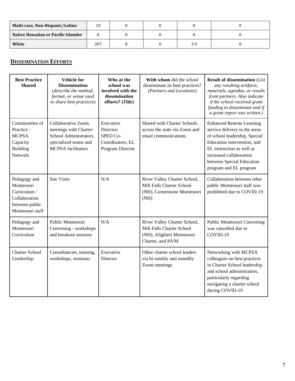| Multi-race, Non-Hispanic/Latino     | 10  |  |     |  |
|-------------------------------------|-----|--|-----|--|
| Native Hawaiian or Pacific Islander |     |  |     |  |
| White                               | 207 |  | J., |  |

### <span id="page-6-0"></span>**DISSEMINATION EFFORTS**

| <b>Best Practice</b><br><b>Shared</b>                                                             | <b>Vehicle</b> for<br><b>Dissemination</b><br>(describe the method,<br>format, or venue used<br>to share best practices)    | Who at the<br>school was<br>involved with the<br>dissemination<br>efforts? (Title) | With whom did the school<br>disseminate its best practices?<br>(Partners and Locations)                     | <b>Result of dissemination (List</b><br>any resulting artifacts,<br>materials, agendas, or results<br>from partners. Also indicate<br>if the school received grant<br>funding to disseminate and if<br>a grant report was written.)             |
|---------------------------------------------------------------------------------------------------|-----------------------------------------------------------------------------------------------------------------------------|------------------------------------------------------------------------------------|-------------------------------------------------------------------------------------------------------------|-------------------------------------------------------------------------------------------------------------------------------------------------------------------------------------------------------------------------------------------------|
| Communities of<br>Practice-<br><b>MCPSA</b><br>Capacity<br><b>Building</b><br>Network             | Collaborative Zoom<br>meetings with Charter<br>School Administrators,<br>specialized teams and<br><b>MCPSA</b> facilitators | Executive<br>Director;<br>SPED Co-<br>Coordinators; EL<br>Program Director         | <b>Shared with Charter Schools</b><br>across the state via Zoom and<br>email communications                 | <b>Enhanced Remote Learning</b><br>service delivery in the areas<br>of school leadership, Special<br>Education intervention, and<br>EL instruction as well as<br>increased collaboration<br>between Special Education<br>program and EL program |
| Pedagogy and<br>Montessori<br>Curriculum /<br>Collaboration<br>between public<br>Montessori staff | <b>Site Visits</b>                                                                                                          | N/A                                                                                | River Valley Charter School,<br>Mill Falls Charter School<br>(NH), Cornerstone Montessori<br>(NH)           | Collaboration between other<br>public Montessori staff was<br>prohibited due to COVID-19                                                                                                                                                        |
| Pedagogy and<br>Montessori<br>Curriculum                                                          | Public Montessori<br>Convening - workshops<br>and breakout sessions                                                         | N/A                                                                                | River Valley Charter School,<br>Mill Falls Charter School<br>(NH), Alighieri Montessori<br>Charter, and HVM | Public Montessori Convening<br>was cancelled due to<br>COVID-19                                                                                                                                                                                 |
| <b>Charter School</b><br>Leadership                                                               | Consultancies, training,<br>workshops, seminars                                                                             | Executive<br>Director                                                              | Other charter school leaders<br>via bi-weekly and monthly<br>Zoom meetings                                  | Networking with MCPSA<br>colleagues on best practices<br>in Charter School leadership<br>and school administration,<br>particularly regarding<br>navigating a charter school<br>during COVID-19                                                 |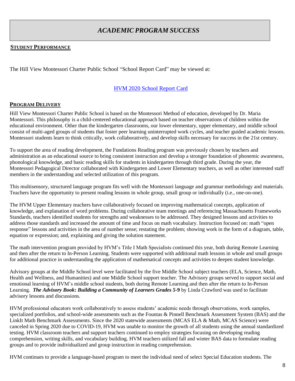### *ACADEMIC PROGRAM SUCCESS*

### <span id="page-7-1"></span><span id="page-7-0"></span>**STUDENT PERFORMANCE**

The Hill View Montessori Charter Public School "School Report Card" may be viewed at:

### [HVM 2020 School Report Card](https://reportcards.doe.mass.edu/2020/04550050)

#### <span id="page-7-2"></span>**PROGRAM DELIVERY**

Hill View Montessori Charter Public School is based on the Montessori Method of education, developed by Dr. Maria Montessori. This philosophy is a child-centered educational approach based on teacher observations of children within the educational environment. Other than the kindergarten classrooms, our lower elementary, upper elementary, and middle school consist of multi-aged groups of students that foster peer learning uninterrupted work cycles, and teacher guided academic lessons. Montessori students learn to think critically, work collaboratively, and develop skills necessary for success in the 21st century.

To support the area of reading development, the Fundations Reading program was previously chosen by teachers and administration as an educational source to bring consistent instruction and develop a stronger foundation of phonemic awareness, phonological knowledge, and basic reading skills for students in kindergarten through third grade. During the year, the Montessori Pedagogical Director collaborated with Kindergarten and Lower Elementary teachers, as well as other interested staff members in the understanding and selected utilization of this program.

This multisensory, structured language program fits well with the Montessori language and grammar methodology and materials. Teachers have the opportunity to present reading lessons in whole group, small group or individually (i.e., one-on-one).

The HVM Upper Elementary teachers have collaboratively focused on improving mathematical concepts, application of knowledge, and explanation of word problems. During collaborative team meetings and referencing Massachusetts Frameworks Standards, teachers identified students for strengths and weaknesses to be addressed. They designed lessons and activities to address those standards and increased the amount of time and focus on math vocabulary. Instruction focused on: math "open response" lessons and activities in the area of number sense; restating the problem; showing work in the form of a diagram, table, equation or expression; and, explaining and giving the solution statement.

The math intervention program provided by HVM's Title I Math Specialists continued this year, both during Remote Learning and then after the return to In-Person Learning. Students were supported with additional math lessons in whole and small groups for additional practice in understanding the application of mathematical concepts and activities to deepen student knowledge.

Advisory groups at the Middle School level were facilitated by the five Middle School subject teachers (ELA, Science, Math, Health and Wellness, and Humanities) and one Middle School support teacher. The Advisory groups served to support social and emotional learning of HVM's middle school students, both during Remote Learning and then after the return to In-Person Learning. *The Advisory Book***:** *Building a Community of Learners Grades 5-***9** by Linda Crawford was used to facilitate advisory lessons and discussions.

HVM professional educators work collaboratively to assess students' academic needs through observations, work samples, specialized portfolios, and school-wide assessments such as the Fountas & Pinnell Benchmark Assessment System (BAS) and the LinkIt Math Benchmark Assessments. Since the 2020 statewide assessments (MCAS ELA & Math, MCAS Science) were canceled in Spring 2020 due to COVID-19, HVM was unable to monitor the growth of all students using the annual standardized testing. HVM classroom teachers and support teachers continued to employ strategies focusing on developing reading comprehension, writing skills, and vocabulary building. HVM teachers utilized fall and winter BAS data to formulate reading groups and to provide individualized and group instruction in reading comprehension.

HVM continues to provide a language-based program to meet the individual need of select Special Education students. The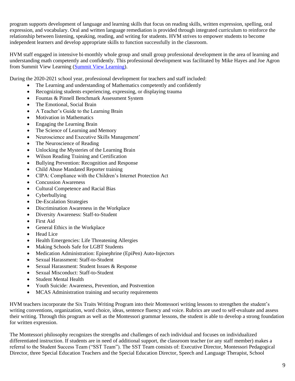program supports development of language and learning skills that focus on reading skills, written expression, spelling, oral expression, and vocabulary. Oral and written language remediation is provided through integrated curriculum to reinforce the relationship between listening, speaking, reading, and writing for students. HVM strives to empower students to become independent learners and develop appropriate skills to function successfully in the classroom.

HVM staff engaged in intensive bi-monthly whole group and small group professional development in the area of learning and understanding math competently and confidently. This professional development was facilitated by Mike Hayes and Joe Agron from Summit View Learning [\(Summit View Learning\)](https://www.summitviewlearning.com/).

During the 2020-2021 school year, professional development for teachers and staff included:

- The Learning and understanding of Mathematics competently and confidently
- Recognizing students experiencing, expressing, or displaying trauma
- Fountas & Pinnell Benchmark Assessment System
- The Emotional, Social Brain
- A Teacher's Guide to the Learning Brain
- Motivation in Mathematics
- Engaging the Learning Brain
- The Science of Learning and Memory
- Neuroscience and Executive Skills Management'
- The Neuroscience of Reading
- Unlocking the Mysteries of the Learning Brain
- Wilson Reading Training and Certification
- Bullying Prevention: Recognition and Response
- Child Abuse Mandated Reporter training
- CIPA: Compliance with the Children's Internet Protection Act
- Concussion Awareness
- Cultural Competence and Racial Bias
- Cyberbullying
- De-Escalation Strategies
- Discrimination Awareness in the Workplace
- Diversity Awareness: Staff-to-Student
- First Aid
- General Ethics in the Workplace
- Head Lice
- Health Emergencies: Life Threatening Allergies
- Making Schools Safe for LGBT Students
- Medication Administration: Epinephrine (EpiPen) Auto-Injectors
- Sexual Harassment: Staff-to-Student
- Sexual Harassment: Student Issues & Response
- Sexual Misconduct: Staff-to-Student
- Student Mental Health
- Youth Suicide: Awareness, Prevention, and Postvention
- MCAS Administration training and security requirements

HVM teachers incorporate the Six Traits Writing Program into their Montessori writing lessons to strengthen the student's writing conventions, organization, word choice, ideas, sentence fluency and voice. Rubrics are used to self-evaluate and assess their writing. Through this program as well as the Montessori grammar lessons, the student is able to develop a strong foundation for written expression.

The Montessori philosophy recognizes the strengths and challenges of each individual and focuses on individualized differentiated instruction. If students are in need of additional support, the classroom teacher (or any staff member) makes a referral to the Student Success Team ("SST Team"). The SST Team consists of: Executive Director, Montessori Pedagogical Director, three Special Education Teachers and the Special Education Director, Speech and Language Therapist, School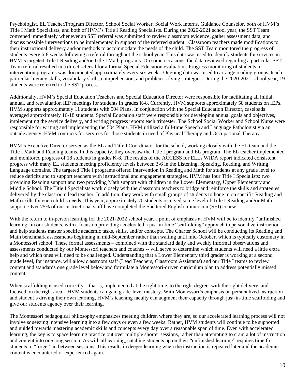Psychologist, EL Teacher/Program Director, School Social Worker, Social Work Interns, Guidance Counselor, both of HVM's Title I Math Specialists, and both of HVM's Title I Reading Specialists. During the 2020-2021 school year, the SST Team convened immediately whenever an SST referral was submitted to review classroom evidence, gather assessment data, and discuss possible interventions to be implemented in support of the referred student. Classroom teachers made modifications to their instructional delivery and/or methods to accommodate the needs of the child. The SST Team monitored the progress of students every 6-8 weeks following a referral throughout the school year. This data was used to identify students for services in HVM's targeted Title I Reading and/or Title I Math programs. On some occasions, the data reviewed regarding a particular SST Team referral resulted in a direct referral for a formal Special Education evaluation. Progress monitoring of students in intervention programs was documented approximately every six weeks. Ongoing data was used to arrange reading groups, teach particular literacy skills, vocabulary skills, comprehension, and problem-solving strategies. During the 2020-2021 school year, 19 students were referred to the SST process.

Additionally, HVM's Special Education Teachers and Special Education Director were responsible for facilitating all initial, annual, and reevaluation IEP meetings for students in grades K-8. Currently, HVM supports approximately 58 students on IEPs. HVM supports approximately 11 students with 504 Plans. In conjunction with the Special Education Director, caseloads averaged approximately 16-18 students. Special Education staff were responsible for developing annual goals and objectives, implementing the service delivery, and writing progress reports each trimester. The School Social Worker and School Nurse were responsible for writing and implementing the 504 Plans. HVM utilized a full-time Speech and Language Pathologist via an outside agency. HVM contracts for services for those students in need of Physical Therapy and Occupational Therapy.

HVM's Executive Director served as the EL and Title I Coordinator for the school, working closely with the EL team and the Title I Math and Reading teams. In this capacity, they oversaw the Title I program and EL program. The EL teacher implemented and monitored progress of 18 students in grades K-8. The results of the ACCESS for ELLs WIDA report indicated consistent progress with many EL students meeting proficiency levels between 3-6 in the Listening, Speaking, Reading, and Writing Language domains. The targeted Title I programs offered intervention in Reading and Math for students at any grade level to reduce deficits and to support teachers with instructional and engagement strategies. HVM has four Title I Specialists: two providing Reading support and two providing Math support with children in the Lower Elementary, Upper Elementary and Middle School. The Title I Specialists work closely with the classroom teachers to bridge and reinforce the skills and strategies delivered by the classroom lead teacher. In addition, they work with small groups of students to hone in on specific Reading and Math skills for each child's needs. This year, approximately 70 students received some level of Title I Reading and/or Math support. Over 75% of our instructional staff have completed the Sheltered English Immersion (SEI) course.

With the return to in-person learning for the 2021-2022 school year, a point of emphasis at HVM will be to identify "unfinished learning" in our students, with a focus on providing accelerated a just-in-time "scaffolding" approach to personalize instruction and help students master specific academic tasks, skills, and/or concepts. The Charter School will be conducting its Reading and Math benchmark assessments beginning in mid-September rather than waiting until mid-October, which is typically customary in a Montessori school. These formal assessments – combined with the standard daily and weekly informal observations and assessments conducted by our Montessori teachers and coaches -- will serve to determine which students will need a little extra help and which ones will need to be challenged. Understanding that a Lower Elementary third grader is working at a second grade level, for instance, will allow classroom staff (Lead Teachers, Classroom Assistants) and our Title I teams to review content and standards one grade level below and formulate a Montessori-driven curriculum plan to address potentially missed content.

When scaffolding is used correctly – that is, implemented at the right time, to the right degree, with the right delivery, and focused on the right area – HVM students can gain grade-level mastery. With Montessori's emphasis on personalized instruction and student's driving their own learning, HVM's teaching faculty can augment their capacity through just-in-time scaffolding and give our students agency over their learning.

The Montessori pedagogical philosophy emphasizes meeting children where they are, so our accelerated learning process will not involve squeezing intensive learning into a few days or even a few weeks. Rather, HVM students will continue to be supported and guided towards mastering academic skills and concepts every day over a reasonable span of time. Even with accelerated learning, the key is to space learning practice out over multiple shorter sessions, rather than attempting to cram a lot of instruction and content into one long session. As with all learning, catching students up on their "unfinished learning" requires time for students to "forget" in between sessions. This results in deeper learning when the instruction is repeated later and the academic content is encountered or experienced again.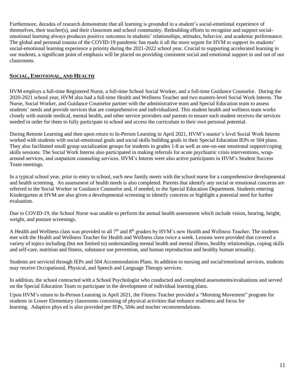Furthermore, decades of research demonstrate that all learning is grounded in a student's social-emotional experience of themselves, their teacher(s), and their classroom and school community. Redoubling efforts to recognize and support socialemotional learning always produces positive outcomes in students' relationships, attitudes, behavior, and academic performance. The global and personal trauma of the COVID-19 pandemic has made it all the more urgent for HVM to support its students' social-emotional learning experience a priority during the 2021-2022 school year. Crucial to supporting accelerated learning in our students, a significant point of emphasis will be placed on providing consistent social and emotional support in and out of our classrooms.

### <span id="page-10-0"></span>**SOCIAL, EMOTIONAL, AND HEALTH**

HVM employs a full-time Registered Nurse, a full-time School Social Worker, and a full-time Guidance Counselor. During the 2020-2021 school year, HVM also had a full-time Health and Wellness Teacher and two masters-level Social Work Interns. The Nurse, Social Worker, and Guidance Counselor partner with the administrative team and Special Education team to assess students' needs and provide services that are comprehensive and individualized. This student health and wellness team works closely with outside medical, mental health, and other service providers and parents to ensure each student receives the services needed in order for them to fully participate in school and access the curriculum to their own personal potential.

During Remote Learning and then upon return to In-Person Learning in April 2021, HVM's master's level Social Work Interns worked with students with social-emotional goals and social skills building goals in their Special Education IEPs or 504 plans. They also facilitated small group socialization groups for students in grades 1-8 as well as one-on-one emotional support/coping skills sessions. The Social Work Interns also participated in making referrals for acute psychiatric crisis interventions, wraparound services, and outpatient counseling services. HVM's Interns were also active participants in HVM's Student Success Team meetings.

In a typical school year, prior to entry to school, each new family meets with the school nurse for a comprehensive developmental and health screening. An assessment of health needs is also completed. Parents that identify any social or emotional concerns are referred to the Social Worker or Guidance Counselor and, if needed, to the Special Education Department. Students entering Kindergarten at HVM are also given a developmental screening to identify concerns or highlight a potential need for further evaluation.

Due to COVID-19, the School Nurse was unable to perform the annual health assessment which include vision, hearing, height, weight, and posture screenings.

A Health and Wellness class was provided to all  $7<sup>th</sup>$  and  $8<sup>th</sup>$  graders by HVM's new Health and Wellness Teacher. The students met with the Health and Wellness Teacher for Health and Wellness class twice a week. Lessons were provided that covered a variety of topics including (but not limited to) understanding mental health and mental illness, healthy relationships, coping skills and self-care, nutrition and fitness, substance use prevention, and human reproduction and healthy human sexuality.

Students are serviced through IEPs and 504 Accommodation Plans. In addition to nursing and social/emotional services, students may receive Occupational, Physical, and Speech and Language Therapy services.

In addition, the school contracted with a School Psychologist who conducted and completed assessments/evaluations and served on the Special Education Team to participate in the development of individual learning plans.

Upon HVM's return to In-Person Learning in April 2021, the Fitness Teacher provided a "Morning Movement" program for students in Lower Elementary classrooms consisting of physical activities that enhance readiness and focus for learning. Adaptive phys ed is also provided per IEPs, 504s and teacher recommendations.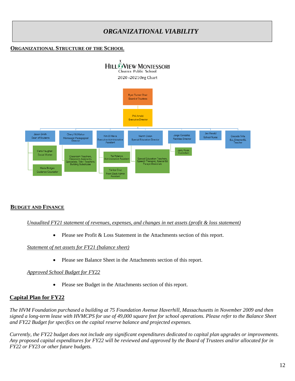### *ORGANIZATIONAL VIABILITY*

### <span id="page-11-1"></span><span id="page-11-0"></span>**ORGANIZATIONAL STRUCTURE OF THE SCHOOL**



### <span id="page-11-2"></span>**BUDGET AND FINANCE**

#### *Unaudited FY21 statement of revenues, expenses, and changes in net assets (profit & loss statement)*

• Please see Profit & Loss Statement in the Attachments section of this report.

#### *Statement of net assets for FY21 (balance sheet)*

• Please see Balance Sheet in the Attachments section of this report.

### *Approved School Budget for FY22*

• Please see Budget in the Attachments section of this report.

### **Capital Plan for FY22**

*The HVM Foundation purchased a building at 75 Foundation Avenue Haverhill, Massachusetts in November 2009 and then signed a long-term lease with HVMCPS for use of 49,000 square feet for school operations. Please refer to the Balance Sheet and FY22 Budget for specifics on the capital reserve balance and projected expenses.*

*Currently, the FY22 budget does not include any significant expenditures dedicated to capital plan upgrades or improvements. Any proposed capital expenditures for FY22 will be reviewed and approved by the Board of Trustees and/or allocated for in FY22 or FY23 or other future budgets.*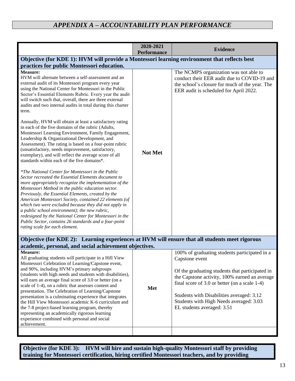<span id="page-12-0"></span>

|                                                                                                                                                                                                                                                                                                                                                                                                                                                                                                                                                                                                                                                                                                                | 2020-2021<br><b>Performance</b> | <b>Evidence</b>                                                                                                                                                                                                                                                                                                                              |
|----------------------------------------------------------------------------------------------------------------------------------------------------------------------------------------------------------------------------------------------------------------------------------------------------------------------------------------------------------------------------------------------------------------------------------------------------------------------------------------------------------------------------------------------------------------------------------------------------------------------------------------------------------------------------------------------------------------|---------------------------------|----------------------------------------------------------------------------------------------------------------------------------------------------------------------------------------------------------------------------------------------------------------------------------------------------------------------------------------------|
| Objective (for KDE 1): HVM will provide a Montessori learning environment that reflects best                                                                                                                                                                                                                                                                                                                                                                                                                                                                                                                                                                                                                   |                                 |                                                                                                                                                                                                                                                                                                                                              |
| practices for public Montessori education.                                                                                                                                                                                                                                                                                                                                                                                                                                                                                                                                                                                                                                                                     |                                 |                                                                                                                                                                                                                                                                                                                                              |
| <b>Measure:</b><br>HVM will alternate between a self-assessment and an<br>external audit of its Montessori program every year<br>using the National Center for Montessori in the Public<br>Sector's Essential Elements Rubric. Every year the audit<br>will switch such that, overall, there are three external<br>audits and two internal audits in total during this charter<br>term.                                                                                                                                                                                                                                                                                                                        |                                 | The NCMPS organization was not able to<br>conduct their EER audit due to COVID-19 and<br>the school's closure for much of the year. The<br>EER audit is scheduled for April 2022.                                                                                                                                                            |
| Annually, HVM will obtain at least a satisfactory rating<br>in each of the five domains of the rubric (Adults,<br>Montessori Learning Environment, Family Engagement,<br>Leadership & Organizational Development, and<br>Assessment). The rating is based on a four-point rubric<br>(unsatisfactory, needs improvement, satisfactory,<br>exemplary), and will reflect the average score of all<br>standards within each of the five domains*.                                                                                                                                                                                                                                                                  | <b>Not Met</b>                  |                                                                                                                                                                                                                                                                                                                                              |
| *The National Center for Montessori in the Public<br>Sector recreated the Essential Elements document to<br>more appropriately recognize the implementation of the<br>Montessori Method in the public education sector.<br>Previously, the Essential Elements, created by the<br>American Montessori Society, contained 22 elements (of<br>which two were excluded because they did not apply in<br>a public school environment); the new rubric,<br>redesigned by the National Center for Montessori in the<br>Public Sector, contains 26 standards and a four-point<br>rating scale for each element.                                                                                                        |                                 |                                                                                                                                                                                                                                                                                                                                              |
| Objective (for KDE 2): Learning experiences at HVM will ensure that all students meet rigorous<br>academic, personal, and social achievement objectives.                                                                                                                                                                                                                                                                                                                                                                                                                                                                                                                                                       |                                 |                                                                                                                                                                                                                                                                                                                                              |
| <b>Measure:</b><br>All graduating students will participate in a Hill View<br>Montessori Celebration of Learning/Capstone event,<br>and 90%, including HVM's primary subgroups<br>(students with high needs and students with disabilities),<br>will earn an average final score of 3.0 or better (on a<br>scale of 1-4), on a rubric that assesses content and<br>presentation. The Celebration of Learning/Capstone<br>presentation is a culminating experience that integrates<br>the Hill View Montessori academic K-6 curriculum and<br>the 7-8 project-based learning program, thereby<br>representing an academically rigorous learning<br>experience combined with personal and social<br>achievement. | Met                             | 100% of graduating students participated in a<br>Capstone event<br>Of the graduating students that participated in<br>the Capstone activity, 100% earned an average<br>final score of $3.0$ or better (on a scale 1-4)<br>Students with Disabilities averaged: 3.12<br>Students with High Needs averaged: 3.03<br>EL students averaged: 3.51 |
|                                                                                                                                                                                                                                                                                                                                                                                                                                                                                                                                                                                                                                                                                                                |                                 |                                                                                                                                                                                                                                                                                                                                              |

**Objective (for KDE 3): HVM will hire and sustain high-quality Montessori staff by providing training for Montessori certification, hiring certified Montessori teachers, and by providing**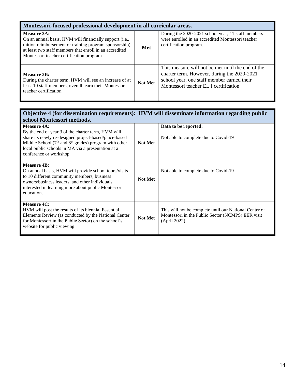| Montessori-focused professional development in all curricular areas.                                                                                                                                                                             |                |                                                                                                                                                                                         |  |
|--------------------------------------------------------------------------------------------------------------------------------------------------------------------------------------------------------------------------------------------------|----------------|-----------------------------------------------------------------------------------------------------------------------------------------------------------------------------------------|--|
| Measure 3A:<br>On an annual basis, HVM will financially support ( <i>i.e.</i> ,<br>tuition reimbursement or training program sponsorship)<br>at least two staff members that enroll in an accredited<br>Montessori teacher certification program | Met            | During the 2020-2021 school year, 11 staff members<br>were enrolled in an accredited Montessori teacher<br>certification program.                                                       |  |
| Measure 3B:<br>During the charter term, HVM will see an increase of at<br>least 10 staff members, overall, earn their Montessori<br>teacher certification.                                                                                       | <b>Not Met</b> | This measure will not be met until the end of the<br>charter term. However, during the 2020-2021<br>school year, one staff member earned their<br>Montessori teacher EL I certification |  |

#### **Objective 4 (for dissemination requirements): HVM will disseminate information regarding public school Montessori methods. Measure 4A:**<br>**By the end of y**  $3$  of the charter term,  $HVM$  will **Data to be reported:**

| By the end of year 3 of the charter term, HVM will<br>share its newly re-designed project-based/place-based<br>Middle School (7 <sup>th</sup> and 8 <sup>th</sup> grades) program with other<br>local public schools in MA via a presentation at a<br>conference or workshop | <b>Not Met</b> | Not able to complete due to Covid-19                                                                                        |
|------------------------------------------------------------------------------------------------------------------------------------------------------------------------------------------------------------------------------------------------------------------------------|----------------|-----------------------------------------------------------------------------------------------------------------------------|
| <b>Measure 4B:</b><br>On annual basis, HVM will provide school tours/visits<br>to 10 different community members, business<br>owners/business leaders, and other individuals<br>interested in learning more about public Montessori<br>education.                            | <b>Not Met</b> | Not able to complete due to Covid-19                                                                                        |
| Measure 4C:<br>HVM will post the results of its biennial Essential<br>Elements Review (as conducted by the National Center<br>for Montessori in the Public Sector) on the school's<br>website for public viewing.                                                            | <b>Not Met</b> | This will not be complete until our National Center of<br>Montessori in the Public Sector (NCMPS) EER visit<br>(April 2022) |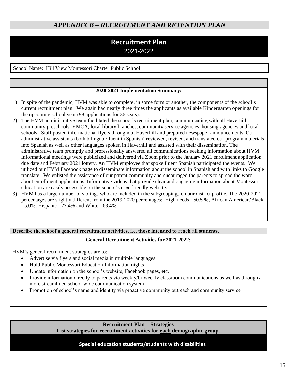### <span id="page-14-0"></span>*APPENDIX B – RECRUITMENT AND RETENTION PLAN*

### **Recruitment Plan** 2021-2022

School Name: Hill View Montessori Charter Public School

#### **2020-2021 Implementation Summary:**

- 1) In spite of the pandemic, HVM was able to complete, in some form or another, the components of the school's current recruitment plan. We again had nearly three times the applicants as available Kindergarten openings for the upcoming school year (98 applications for 36 seats).
- 2) The HVM administrative team facilitated the school's recruitment plan, communicating with all Haverhill community preschools, YMCA, local library branches, community service agencies, housing agencies and local schools. Staff posted informational flyers throughout Haverhill and prepared newspaper announcements. Our administrative assistants (both bilingual/fluent in Spanish) reviewed, revised, and translated our program materials into Spanish as well as other languages spoken in Haverhill and assisted with their dissemination. The administrative team promptly and professionally answered all communications seeking information about HVM. Informational meetings were publicized and delivered via Zoom prior to the January 2021 enrollment application due date and February 2021 lottery. An HVM employee that spoke fluent Spanish participated the events. We utilized our HVM Facebook page to disseminate information about the school in Spanish and with links to Google translate. We enlisted the assistance of our parent community and encouraged the parents to spread the word about enrollment applications. Informative videos that provide clear and engaging information about Montessori education are easily accessible on the school's user-friendly website.
- 3) HVM has a large number of siblings who are included in the subgroupings on our district profile. The 2020-2021 percentages are slightly different from the 2019-2020 percentages: High needs - 50.5 %, African American/Black - 5.0%, Hispanic - 27.4% and White - 63.4%.

### **Describe the school's general recruitment activities, i.e. those intended to reach all students.**

#### **General Recruitment Activities for 2021-2022:**

HVM's general recruitment strategies are to:

- Advertise via flyers and social media in multiple languages
- Hold Public Montessori Education Information nights
- Update information on the school's website, Facebook pages, etc.
- Provide information directly to parents via weekly/bi-weekly classroom communications as well as through a more streamlined school-wide communication system
- Promotion of school's name and identity via proactive community outreach and community service

**Recruitment Plan – Strategies List strategies for recruitment activities for each demographic group.**

### **Special education students/students with disabilities**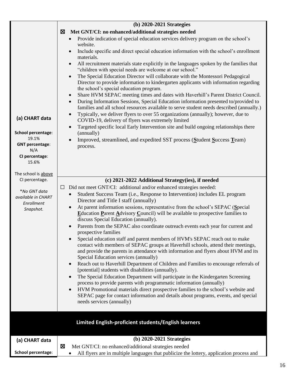|                                  | (b) 2020-2021 Strategies                                                                                                                                                                                                                                                                                                                                                                                                                                                                                                                                                                                                                                                                                                                                                                         |
|----------------------------------|--------------------------------------------------------------------------------------------------------------------------------------------------------------------------------------------------------------------------------------------------------------------------------------------------------------------------------------------------------------------------------------------------------------------------------------------------------------------------------------------------------------------------------------------------------------------------------------------------------------------------------------------------------------------------------------------------------------------------------------------------------------------------------------------------|
|                                  | Met GNT/CI: no enhanced/additional strategies needed<br>⊠                                                                                                                                                                                                                                                                                                                                                                                                                                                                                                                                                                                                                                                                                                                                        |
|                                  | Provide indication of special education services delivery program on the school's                                                                                                                                                                                                                                                                                                                                                                                                                                                                                                                                                                                                                                                                                                                |
|                                  | website.<br>Include specific and direct special education information with the school's enrollment<br>$\bullet$<br>materials.                                                                                                                                                                                                                                                                                                                                                                                                                                                                                                                                                                                                                                                                    |
|                                  | All recruitment materials state explicitly in the languages spoken by the families that<br>$\bullet$<br>"children with special needs are welcome at our school."                                                                                                                                                                                                                                                                                                                                                                                                                                                                                                                                                                                                                                 |
| (a) CHART data                   | The Special Education Director will collaborate with the Montessori Pedagogical<br>$\bullet$<br>Director to provide information to kindergarten applicants with information regarding<br>the school's special education program.<br>Share HVM SEPAC meeting times and dates with Haverhill's Parent District Council.<br>$\bullet$<br>During Information Sessions, Special Education information presented to/provided to<br>$\bullet$<br>families and all school resources available to serve student needs described (annually.)<br>Typically, we deliver flyers to over 55 organizations (annually); however, due to<br>$\bullet$<br>COVID-19, delivery of flyers was extremely limited<br>Targeted specific local Early Intervention site and build ongoing relationships there<br>$\bullet$ |
| School percentage:<br>19.1%      | (annually)<br>Improved, streamlined, and expedited SST process (Student Success Team)                                                                                                                                                                                                                                                                                                                                                                                                                                                                                                                                                                                                                                                                                                            |
| <b>GNT percentage:</b><br>N/A    | process.                                                                                                                                                                                                                                                                                                                                                                                                                                                                                                                                                                                                                                                                                                                                                                                         |
| CI percentage:<br>15.6%          |                                                                                                                                                                                                                                                                                                                                                                                                                                                                                                                                                                                                                                                                                                                                                                                                  |
| The school is above              |                                                                                                                                                                                                                                                                                                                                                                                                                                                                                                                                                                                                                                                                                                                                                                                                  |
| CI percentage.                   | (c) 2021-2022 Additional Strategy(ies), if needed                                                                                                                                                                                                                                                                                                                                                                                                                                                                                                                                                                                                                                                                                                                                                |
| *No GNT data                     | Did not meet GNT/CI: additional and/or enhanced strategies needed:<br>$\Box$                                                                                                                                                                                                                                                                                                                                                                                                                                                                                                                                                                                                                                                                                                                     |
| available in CHART<br>Enrollment | Student Success Team (i.e., Response to Intervention) includes EL program<br>$\bullet$<br>Director and Title I staff (annually)                                                                                                                                                                                                                                                                                                                                                                                                                                                                                                                                                                                                                                                                  |
| Snapshot.                        | At parent information sessions, representative from the school's SEPAC (Special<br>$\bullet$<br>Education Parent Advisory Council) will be available to prospective families to<br>discuss Special Education (annually).                                                                                                                                                                                                                                                                                                                                                                                                                                                                                                                                                                         |
|                                  | Parents from the SEPAC also coordinate outreach events each year for current and<br>prospective families                                                                                                                                                                                                                                                                                                                                                                                                                                                                                                                                                                                                                                                                                         |
|                                  | Special education staff and parent members of HVM's SEPAC reach out to make<br>contact with members of SEPAC groups at Haverhill schools, attend their meetings,<br>and provide the parents in attendance with information and flyers about HVM and its<br>Special Education services (annually)                                                                                                                                                                                                                                                                                                                                                                                                                                                                                                 |
|                                  | Reach out to Haverhill Department of Children and Families to encourage referrals of<br>$\bullet$<br>[potential] students with disabilities (annually).                                                                                                                                                                                                                                                                                                                                                                                                                                                                                                                                                                                                                                          |
|                                  | The Special Education Department will participate in the Kindergarten Screening<br>$\bullet$<br>process to provide parents with programmatic information (annually)                                                                                                                                                                                                                                                                                                                                                                                                                                                                                                                                                                                                                              |
|                                  | HVM Promotional materials direct prospective families to the school's website and<br>$\bullet$<br>SEPAC page for contact information and details about programs, events, and special<br>needs services (annually)                                                                                                                                                                                                                                                                                                                                                                                                                                                                                                                                                                                |
|                                  |                                                                                                                                                                                                                                                                                                                                                                                                                                                                                                                                                                                                                                                                                                                                                                                                  |
|                                  | Limited English-proficient students/English learners                                                                                                                                                                                                                                                                                                                                                                                                                                                                                                                                                                                                                                                                                                                                             |
| (a) CHART data                   | $(b)$ 2020-2021 Strategies                                                                                                                                                                                                                                                                                                                                                                                                                                                                                                                                                                                                                                                                                                                                                                       |
|                                  | $\boxtimes$<br>Met GNT/CI: no enhanced/additional strategies needed                                                                                                                                                                                                                                                                                                                                                                                                                                                                                                                                                                                                                                                                                                                              |
| School percentage:               | All flyers are in multiple languages that publicize the lottery, application process and                                                                                                                                                                                                                                                                                                                                                                                                                                                                                                                                                                                                                                                                                                         |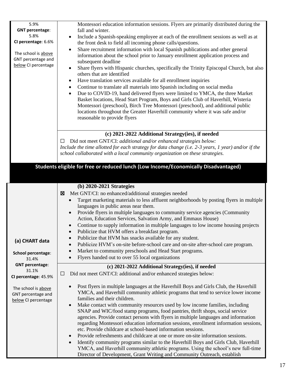| 5.9%                            | Montessori education information sessions. Flyers are primarily distributed during the                                                                                       |
|---------------------------------|------------------------------------------------------------------------------------------------------------------------------------------------------------------------------|
| <b>GNT percentage:</b><br>5.8%  | fall and winter.                                                                                                                                                             |
| CI percentage: 6.6%             | Include a Spanish-speaking employee at each of the enrollment sessions as well as at<br>٠                                                                                    |
|                                 | the front desk to field all incoming phone calls/questions.<br>Share recruitment information with local Spanish publications and other general<br>$\bullet$                  |
| The school is above             | information about the school prior to January enrollment application process and                                                                                             |
| GNT percentage and              | subsequent deadline                                                                                                                                                          |
| below CI percentage             | Share flyers with Hispanic churches, specifically the Trinity Episcopal Church, but also<br>$\bullet$                                                                        |
|                                 | others that are identified                                                                                                                                                   |
|                                 | Have translation services available for all enrollment inquiries<br>$\bullet$                                                                                                |
|                                 | Continue to translate all materials into Spanish including on social media<br>٠                                                                                              |
|                                 | Due to COVID-19, hand delivered flyers were limited to YMCA, the three Market<br>$\bullet$                                                                                   |
|                                 | Basket locations, Head Start Program, Boys and Girls Club of Haverhill, Wisteria<br>Montessori (preschool), Birch Tree Montessori (preschool), and additional public         |
|                                 | locations throughout the Greater Haverhill community where it was safe and/or                                                                                                |
|                                 | reasonable to provide flyers                                                                                                                                                 |
|                                 |                                                                                                                                                                              |
|                                 | (c) 2021-2022 Additional Strategy(ies), if needed                                                                                                                            |
|                                 | Did not meet GNT/CI: additional and/or enhanced strategies below:<br>ப                                                                                                       |
|                                 | Include the time allotted for each strategy for data change (i.e. 2-3 years, 1 year) and/or if the                                                                           |
|                                 | school collaborated with a local community organization on these strategies.                                                                                                 |
|                                 |                                                                                                                                                                              |
|                                 | Students eligible for free or reduced lunch (Low Income/Economically Disadvantaged)                                                                                          |
|                                 |                                                                                                                                                                              |
|                                 | (b) 2020-2021 Strategies                                                                                                                                                     |
|                                 | Met GNT/CI: no enhanced/additional strategies needed<br>⊠                                                                                                                    |
|                                 | Target marketing materials to less affluent neighborhoods by posting flyers in multiple<br>$\bullet$                                                                         |
|                                 | languages in public areas near them.                                                                                                                                         |
|                                 | Provide flyers in multiple languages to community service agencies (Community                                                                                                |
|                                 | Action, Education Services, Salvation Army, and Emmaus House)                                                                                                                |
|                                 | Continue to supply information in multiple languages to low income housing projects                                                                                          |
|                                 | Publicize that HVM offers a breakfast program.                                                                                                                               |
| (a) CHART data                  | Publicize that HVM has snacks available for any student.<br>$\bullet$                                                                                                        |
|                                 | Publicize HVM's on-site before-school care and on-site after-school care program.<br>$\bullet$<br>Market to community preschools and Head Start programs.<br>$\bullet$       |
| School percentage:              | Flyers handed out to over 55 local organizations<br>$\bullet$                                                                                                                |
| 31.4%<br><b>GNT percentage:</b> |                                                                                                                                                                              |
| 31.1%                           | (c) 2021-2022 Additional Strategy(ies), if needed                                                                                                                            |
| CI percentage: 45.9%            | Did not meet GNT/CI: additional and/or enhanced strategies below:<br>$\Box$                                                                                                  |
| The school is above             | Post flyers in multiple languages at the Haverhill Boys and Girls Club, the Haverhill<br>$\bullet$                                                                           |
| GNT percentage and              | YMCA, and Haverhill community athletic programs that tend to service lower income                                                                                            |
| below CI percentage             | families and their children.                                                                                                                                                 |
|                                 | Make contact with community resources used by low income families, including<br>$\bullet$                                                                                    |
|                                 | SNAP and WIC/food stamp programs, food pantries, thrift shops, social service                                                                                                |
|                                 | agencies. Provide contact persons with flyers in multiple languages and information<br>regarding Montessori education information sessions, enrollment information sessions, |
|                                 | etc. Provide childcare at school-based information sessions.                                                                                                                 |
|                                 | Provide refreshments and childcare at one or more on-site information sessions.<br>$\bullet$                                                                                 |
|                                 | Identify community programs similar to the Haverhill Boys and Girls Club, Haverhill<br>$\bullet$                                                                             |
|                                 | YMCA, and Haverhill community athletic programs. Using the school's new full-time                                                                                            |
|                                 | Director of Development, Grant Writing and Community Outreach, establish                                                                                                     |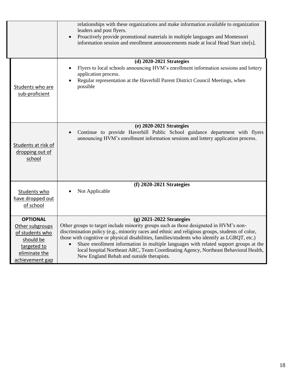|                                                                                                                       | relationships with these organizations and make information available to organization<br>leaders and post flyers.<br>Proactively provide promotional materials in multiple languages and Montessori<br>$\bullet$<br>information session and enrollment announcements made at local Head Start site[s].                                                                                                                                                                                                                                                |
|-----------------------------------------------------------------------------------------------------------------------|-------------------------------------------------------------------------------------------------------------------------------------------------------------------------------------------------------------------------------------------------------------------------------------------------------------------------------------------------------------------------------------------------------------------------------------------------------------------------------------------------------------------------------------------------------|
| Students who are<br>sub-proficient                                                                                    | (d) 2020-2021 Strategies<br>Flyers to local schools announcing HVM's enrollment information sessions and lottery<br>application process.<br>Regular representation at the Haverhill Parent District Council Meetings, when<br>possible                                                                                                                                                                                                                                                                                                                |
| Students at risk of<br>dropping out of<br>school                                                                      | (e) 2020-2021 Strategies<br>Continue to provide Haverhill Public School guidance department with flyers<br>$\bullet$<br>announcing HVM's enrollment information sessions and lottery application process.                                                                                                                                                                                                                                                                                                                                             |
| Students who<br>have dropped out<br>of school                                                                         | $(f)$ 2020-2021 Strategies<br>Not Applicable                                                                                                                                                                                                                                                                                                                                                                                                                                                                                                          |
| <b>OPTIONAL</b><br>Other subgroups<br>of students who<br>should be<br>targeted to<br>eliminate the<br>achievement gap | $(g)$ 2021-2022 Strategies<br>Other groups to target include minority groups such as those designated in HVM's non-<br>discrimination policy (e.g., minority races and ethnic and religious groups, students of color,<br>those with cognitive or physical disabilities, families/students who identify as LGBQT, etc.)<br>Share enrollment information in multiple languages with related support groups at the<br>local hospital Northeast ARC, Team Coordinating Agency, Northeast Behavioral Health,<br>New England Rehab and outside therapists. |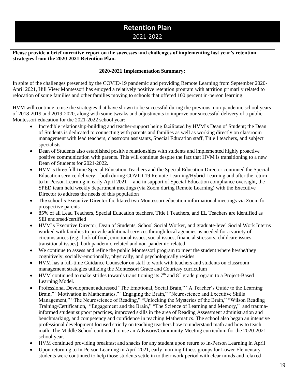### **Retention Plan** 2021-2022

**Please provide a brief narrative report on the successes and challenges of implementing last year's retention strategies from the 2020-2021 Retention Plan.** 

#### **2020-2021 Implementation Summary:**

In spite of the challenges presented by the COVID-19 pandemic and providing Remote Learning from September 2020- April 2021, Hill View Montessori has enjoyed a relatively positive retention program with attrition primarily related to relocation of some families and other families moving to schools that offered 100 percent in-person learning.

HVM will continue to use the strategies that have shown to be successful during the previous, non-pandemic school years of 2018-2019 and 2019-2020, along with some tweaks and adjustments to improve our successful delivery of a public Montessori education for the 2021-2022 school year:

- Incredible relationship-building and teacher-support being facilitated by HVM's Dean of Student; the Dean of Students is dedicated to connecting with parents and families as well as working directly on classroom management with lead teachers, classroom assistants, Special Education staff, Title I teachers, and subject specialists
- Dean of Students also established positive relationships with students and implemented highly proactive positive communication with parents. This will continue despite the fact that HVM is transitioning to a new Dean of Students for 2021-2022.
- HVM's three full-time Special Education Teachers and the Special Education Director continued the Special Education service delivery – both during COVID-19 Remote Learning/Hybrid Learning and after the return to In-Person Learning in early April 2021 -- and in support of Special Education compliance oversight, the SPED team held weekly department meetings (via Zoom during Remote Learning) with the Executive Director to address the needs of this population
- The school's Executive Director facilitated two Montessori education informational meetings via Zoom for prospective parents
- 85% of all Lead Teachers, Special Education teachers, Title I Teachers, and EL Teachers are identified as SEI endorsed/certified
- HVM's Executive Director, Dean of Students, School Social Worker, and graduate-level Social Work Interns worked with families to provide additional services through local agencies as needed for a variety of circumstances (e.g., lack of food, emotional issues, social issues, financial stressors, childcare issues, transitional issues), both pandemic-related and non-pandemic-related
- We continue to assess and refine the public Montessori program to meet the student where he/she/they cognitively, socially-emotionally, physically, and psychologically resides
- HVM has a full-time Guidance Counselor on staff to work with teachers and students on classroom management strategies utilizing the Montessori Grace and Courtesy curriculum
- HVM continued to make strides towards transitioning its  $7<sup>th</sup>$  and  $8<sup>th</sup>$  grade program to a Project-Based Learning Model.
- Professional Development addressed "The Emotional, Social Brain," "A Teacher's Guide to the Learning Brain," "Motivation in Mathematics," "Engaging the Brain," "Neuroscience and Executive Skills Management," "The Neuroscience of Reading," "Unlocking the Mysteries of the Brain," "Wilson Reading Training/Certification, "Engagement and the Brain," "The Science of Learning and Memory," and traumainformed student support practices, improved skills in the area of Reading Assessment administration and benchmarking, and competency and confidence in teaching Mathematics. The school also began an intensive professional development focused strictly on teaching teachers how to understand math and how to teach math. The Middle School continued to use an Advisory/Community Meeting curriculum for the 2020-2021 school year.
- HVM continued providing breakfast and snacks for any student upon return to In-Person Learning in April
- Upon returning to In-Person Learning in April 2021, early morning fitness groups for Lower Elementary students were continued to help those students settle in to their work period with clear minds and relaxed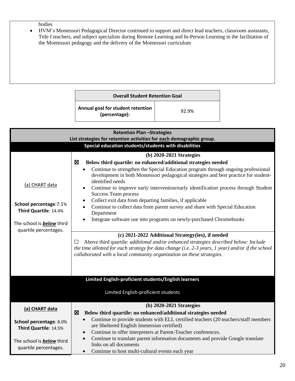bodies

• HVM's Montessori Pedagogical Director continued to support and direct lead teachers, classroom assistants, Title I teachers, and subject specialists during Remote Learning and In-Person Learning in the facilitation of the Montessori pedagogy and the delivery of the Montessori curriculum

| <b>Overall Student Retention Goal</b>              |       |  |
|----------------------------------------------------|-------|--|
| Annual goal for student retention<br>(percentage): | 92.9% |  |

| <b>Retention Plan-Strategies</b><br>List strategies for retention activities for each demographic group. |                                                                                                                                                                                                                                                                                  |  |  |
|----------------------------------------------------------------------------------------------------------|----------------------------------------------------------------------------------------------------------------------------------------------------------------------------------------------------------------------------------------------------------------------------------|--|--|
| Special education students/students with disabilities                                                    |                                                                                                                                                                                                                                                                                  |  |  |
|                                                                                                          | (b) 2020-2021 Strategies                                                                                                                                                                                                                                                         |  |  |
|                                                                                                          | Below third quartile: no enhanced/additional strategies needed<br>区                                                                                                                                                                                                              |  |  |
| (a) CHART data                                                                                           | Continue to strengthen the Special Education program through ongoing professional<br>$\bullet$<br>development in both Montessori pedagogical strategies and best practice for student-<br>identified needs                                                                       |  |  |
|                                                                                                          | Continue to improve early intervention/early identification process through Student<br><b>Success Team process</b>                                                                                                                                                               |  |  |
| School percentage: 7.1%                                                                                  | Collect exit data from departing families, if applicable                                                                                                                                                                                                                         |  |  |
| Third Quartile: 14.4%                                                                                    | Continue to collect data from parent survey and share with Special Education<br>Department                                                                                                                                                                                       |  |  |
| The school is <b>below</b> third                                                                         | Integrate software use into programs on newly-purchased Chromebooks<br>$\bullet$                                                                                                                                                                                                 |  |  |
| quartile percentages.                                                                                    | (c) 2021-2022 Additional Strategy(ies), if needed                                                                                                                                                                                                                                |  |  |
|                                                                                                          | Above third quartile: <i>additional and/or enhanced strategies described below: Include</i><br>П<br>the time allotted for each strategy for data change (i.e. $2-3$ years, 1 year) and/or if the school<br>collaborated with a local community organization on these strategies. |  |  |
|                                                                                                          |                                                                                                                                                                                                                                                                                  |  |  |
|                                                                                                          | Limited English-proficient students/English learners                                                                                                                                                                                                                             |  |  |
|                                                                                                          | Limited English-proficient students                                                                                                                                                                                                                                              |  |  |
| (a) CHART data                                                                                           | $(b)$ 2020-2021 Strategies                                                                                                                                                                                                                                                       |  |  |
|                                                                                                          | 区<br>Below third quartile: no enhanced/additional strategies needed                                                                                                                                                                                                              |  |  |
| School percentage: 8.0%                                                                                  | Continue to provide students with ELL certified teachers (20 teachers/staff members                                                                                                                                                                                              |  |  |
| Third Quartile: 14.5%                                                                                    | are Sheltered English Immersion certified)                                                                                                                                                                                                                                       |  |  |
|                                                                                                          | Continue to offer interpreters at Parent-Teacher conferences.<br>$\bullet$                                                                                                                                                                                                       |  |  |
| The school is <b>below</b> third<br>quartile percentages.                                                | Continue to translate parent information documents and provide Google translate<br>$\bullet$<br>links on all documents                                                                                                                                                           |  |  |
|                                                                                                          | Continue to host multi-cultural events each year<br>$\bullet$                                                                                                                                                                                                                    |  |  |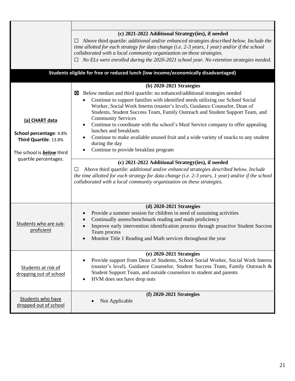|                                                                                                                                 | (c) 2021-2022 Additional Strategy(ies), if needed<br>Above third quartile: <i>additional and/or enhanced strategies described below. Include the</i><br>⊔<br>time allotted for each strategy for data change (i.e. $2-3$ years, 1 year) and/or if the school<br>collaborated with a local community organization on these strategies.<br>$\Box$ No ELs were enrolled during the 2020-2021 school year. No retention strategies needed.                                                                                                                                                                                                                                                                                                                                                                                                                                                                                  |
|---------------------------------------------------------------------------------------------------------------------------------|-------------------------------------------------------------------------------------------------------------------------------------------------------------------------------------------------------------------------------------------------------------------------------------------------------------------------------------------------------------------------------------------------------------------------------------------------------------------------------------------------------------------------------------------------------------------------------------------------------------------------------------------------------------------------------------------------------------------------------------------------------------------------------------------------------------------------------------------------------------------------------------------------------------------------|
|                                                                                                                                 | Students eligible for free or reduced lunch (low income/economically disadvantaged)                                                                                                                                                                                                                                                                                                                                                                                                                                                                                                                                                                                                                                                                                                                                                                                                                                     |
| (a) CHART data<br>School percentage: 4.8%<br>Third Quartile: 13.8%<br>The school is <b>below</b> third<br>quartile percentages. | (b) 2020-2021 Strategies<br>Below median and third quartile: no enhanced/additional strategies needed<br>×<br>Continue to support families with identified needs utilizing our School Social<br>Worker, Social Work Interns (master's level), Guidance Counselor, Dean of<br>Students, Student Success Team, Family Outreach and Student Support Team, and<br><b>Community Services</b><br>Continue to coordinate with the school's Meal Service company to offer appealing<br>lunches and breakfasts<br>Continue to make available unused fruit and a wide variety of snacks to any student<br>during the day<br>Continue to provide breakfast program<br>(c) 2021-2022 Additional Strategy(ies), if needed<br>Above third quartile: <i>additional and/or enhanced strategies described below. Include</i><br>⊔<br>the time allotted for each strategy for data change (i.e. $2-3$ years, 1 year) and/or if the school |
|                                                                                                                                 | collaborated with a local community organization on these strategies.                                                                                                                                                                                                                                                                                                                                                                                                                                                                                                                                                                                                                                                                                                                                                                                                                                                   |
| Students who are sub-<br>proficient                                                                                             | (d) 2020-2021 Strategies<br>Provide a summer session for children in need of sustaining activities<br>Continually assess/benchmark reading and math proficiency<br>Improve early intervention identification process through proactive Student Success<br>Team process<br>Monitor Title 1 Reading and Math services throughout the year                                                                                                                                                                                                                                                                                                                                                                                                                                                                                                                                                                                 |
| Students at risk of<br>dropping out of school                                                                                   | (e) 2020-2021 Strategies<br>Provide support from Dean of Students, School Social Worker, Social Work Interns<br>(master's level), Guidance Counselor, Student Success Team, Family Outreach &<br>Student Support Team, and outside counselors to student and parents<br>HVM does not have drop outs                                                                                                                                                                                                                                                                                                                                                                                                                                                                                                                                                                                                                     |
| Students who have<br>dropped out of school                                                                                      | $(f)$ 2020-2021 Strategies<br>Not Applicable                                                                                                                                                                                                                                                                                                                                                                                                                                                                                                                                                                                                                                                                                                                                                                                                                                                                            |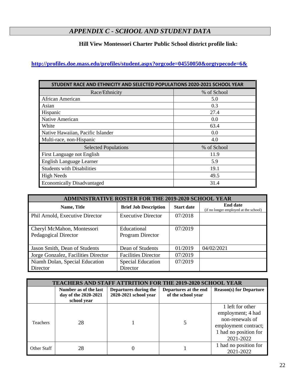### *APPENDIX C - SCHOOL AND STUDENT DATA*

### **Hill View Montessori Charter Public School district profile link:**

### <span id="page-21-0"></span>**<http://profiles.doe.mass.edu/profiles/student.aspx?orgcode=04550050&orgtypecode=6&>**

| STUDENT RACE AND ETHNICITY AND SELECTED POPULATIONS 2020-2021 SCHOOL YEAR |             |  |
|---------------------------------------------------------------------------|-------------|--|
| Race/Ethnicity                                                            | % of School |  |
| African American                                                          | 5.0         |  |
| Asian                                                                     | 0.3         |  |
| Hispanic                                                                  | 27.4        |  |
| Native American                                                           | 0.0         |  |
| White                                                                     | 63.4        |  |
| Native Hawaiian, Pacific Islander                                         | 0.0         |  |
| Multi-race, non-Hispanic                                                  | 4.0         |  |
| <b>Selected Populations</b>                                               | % of School |  |
| First Language not English                                                | 11.9        |  |
| English Language Learner                                                  | 5.9         |  |
| <b>Students with Disabilities</b>                                         | 19.1        |  |
| <b>High Needs</b>                                                         | 49.5        |  |
| <b>Economically Disadvantaged</b>                                         | 31.4        |  |

| <b>ADMINISTRATIVE ROSTER FOR THE 2019-2020 SCHOOL YEAR</b> |                                      |                   |                                                          |
|------------------------------------------------------------|--------------------------------------|-------------------|----------------------------------------------------------|
| Name, Title                                                | <b>Brief Job Description</b>         | <b>Start date</b> | <b>End date</b><br>(if no longer employed at the school) |
| Phil Arnold, Executive Director                            | <b>Executive Director</b>            | 07/2018           |                                                          |
| Cheryl McMahon, Montessori<br>Pedagogical Director         | Educational<br>Program Director      | 07/2019           |                                                          |
| Jason Smith, Dean of Students                              | Dean of Students                     | 01/2019           | 04/02/2021                                               |
| Jorge Gonzalez, Facilities Director                        | <b>Facilities Director</b>           | 07/2019           |                                                          |
| Niamh Dolan, Special Education<br>Director                 | <b>Special Education</b><br>Director | 07/2019           |                                                          |

| <b>TEACHERS AND STAFF ATTRITION FOR THE 2019-2020 SCHOOL YEAR</b> |                                                              |                                                |                                             |                                                                                                                        |
|-------------------------------------------------------------------|--------------------------------------------------------------|------------------------------------------------|---------------------------------------------|------------------------------------------------------------------------------------------------------------------------|
|                                                                   | Number as of the last<br>day of the 2020-2021<br>school year | Departures during the<br>2020-2021 school year | Departures at the end<br>of the school year | <b>Reason(s) for Departure</b>                                                                                         |
| <b>Teachers</b>                                                   | 28                                                           |                                                |                                             | 1 left for other<br>employment; 4 had<br>non-renewals of<br>employment contract;<br>1 had no position for<br>2021-2022 |
| Other Staff                                                       | 28                                                           | 0                                              |                                             | 1 had no position for<br>2021-2022                                                                                     |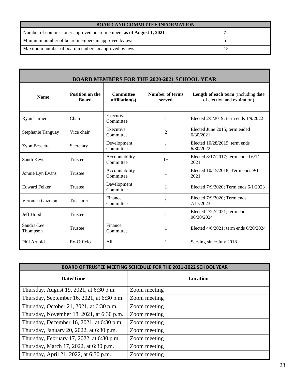| <b>BOARD AND COMMITTEE INFORMATION</b>                             |  |  |
|--------------------------------------------------------------------|--|--|
| Number of commissioner approved board members as of August 1, 2021 |  |  |
| Minimum number of board members in approved bylaws                 |  |  |
| Maximum number of board members in approved bylaws                 |  |  |

| <b>BOARD MEMBERS FOR THE 2020-2021 SCHOOL YEAR</b> |                                        |                                    |                                  |                                                                    |
|----------------------------------------------------|----------------------------------------|------------------------------------|----------------------------------|--------------------------------------------------------------------|
| <b>Name</b>                                        | <b>Position on the</b><br><b>Board</b> | <b>Committee</b><br>affiliation(s) | <b>Number of terms</b><br>served | Length of each term (including date<br>of election and expiration) |
| <b>Ryan Turner</b>                                 | Chair                                  | Executive<br>Committee             | 1                                | Elected 2/5/2019; term ends 1/9/2022                               |
| Stephanie Tanguay                                  | Vice chair                             | Executive<br>Committee             | $\overline{2}$                   | Elected June 2015; term ended<br>6/30/2021                         |
| <b>Zyon Bessette</b>                               | Secretary                              | Development<br>Committee           | 1                                | Elected 10/28/2019; term ends<br>6/30/2022                         |
| Sandi Keys                                         | <b>Trustee</b>                         | Accountability<br>Committee        | $1+$                             | Elected 8/17/2017; term ended 6/1/<br>2021                         |
| Jonnie Lyn Evans                                   | <b>Trustee</b>                         | Accountability<br>Committee        | 1                                | Elected 10/15/2018; Term ends 9/1<br>2021                          |
| <b>Edward Felker</b>                               | <b>Trustee</b>                         | Development<br>Committee           | 1                                | Elected 7/9/2020; Term ends 6/1/2023                               |
| Veronica Guzman                                    | Treasurer                              | Finance<br>Committee               | 1                                | Elected 7/9/2020; Term ends<br>7/17/2023                           |
| Jeff Hood                                          | <b>Trustee</b>                         |                                    | 1                                | Elected $2/22/2021$ ; term ends<br>06/30/2024                      |
| Sandra-Lee<br>Thompson                             | <b>Trustee</b>                         | Finance<br>Committee               | 1                                | Elected 4/6/2021; term ends 6/20/2024                              |
| Phil Arnold                                        | Ex-Officio                             | A11                                | 1                                | Serving since July 2018                                            |

| BOARD OF TRUSTEE MEETING SCHEDULE FOR THE 2021-2022 SCHOOL YEAR |                 |  |
|-----------------------------------------------------------------|-----------------|--|
| Date/Time                                                       | <b>Location</b> |  |
| Thursday, August 19, 2021, at 6:30 p.m.                         | Zoom meeting    |  |
| Thursday, September 16, 2021, at $6:30$ p.m.                    | Zoom meeting    |  |
| Thursday, October 21, 2021, at 6:30 p.m.                        | Zoom meeting    |  |
| Thursday, November 18, 2021, at 6:30 p.m.                       | Zoom meeting    |  |
| Thursday, December 16, 2021, at 6:30 p.m.                       | Zoom meeting    |  |
| Thursday, January 20, 2022, at 6:30 p.m.                        | Zoom meeting    |  |
| Thursday, February 17, 2022, at 6:30 p.m.                       | Zoom meeting    |  |
| Thursday, March 17, 2022, at 6:30 p.m.                          | Zoom meeting    |  |
| Thursday, April 21, 2022, at 6:30 p.m.                          | Zoom meeting    |  |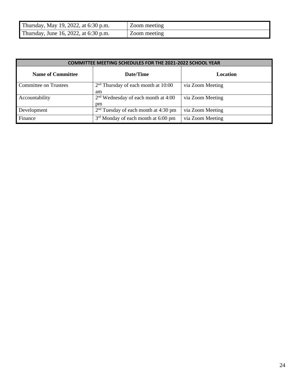| Thursday, May 19, 2022, at 6:30 p.m.  | Zoom meeting |
|---------------------------------------|--------------|
| Thursday, June 16, 2022, at 6:30 p.m. | Zoom meeting |

| <b>COMMITTEE MEETING SCHEDULES FOR THE 2021-2022 SCHOOL YEAR</b> |                                             |                  |  |
|------------------------------------------------------------------|---------------------------------------------|------------------|--|
| <b>Name of Committee</b>                                         | Date/Time                                   | Location         |  |
| <b>Committee on Trustees</b>                                     | $2nd$ Thursday of each month at 10:00<br>am | via Zoom Meeting |  |
| Accountability                                                   | $2nd$ Wednesday of each month at 4:00<br>pm | via Zoom Meeting |  |
| Development                                                      | $2nd$ Tuesday of each month at 4:30 pm      | via Zoom Meeting |  |
| Finance                                                          | $3rd$ Monday of each month at 6:00 pm       | via Zoom Meeting |  |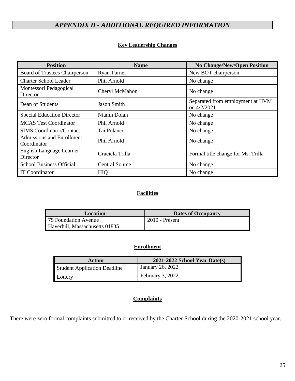## *APPENDIX D - ADDITIONAL REQUIRED INFORMATION*

### **Key Leadership Changes**

<span id="page-24-0"></span>

| <b>Position</b>                                 | <b>Name</b>           | <b>No Change/New/Open Position</b>              |
|-------------------------------------------------|-----------------------|-------------------------------------------------|
| Board of Trustees Chairperson                   | <b>Ryan Turner</b>    | New BOT chairperson                             |
| <b>Charter School Leader</b>                    | Phil Arnold           | No change                                       |
| Montessori Pedagogical<br>Director              | Cheryl McMahon        | No change                                       |
| Dean of Students                                | <b>Jason Smith</b>    | Separated from employment at HVM<br>on 4/2/2021 |
| <b>Special Education Director</b>               | Niamh Dolan           | No change                                       |
| <b>MCAS Test Coordinator</b>                    | Phil Arnold           | No change                                       |
| <b>SIMS</b> Coordinator/Contact                 | Tai Polanco           | No change                                       |
| <b>Admissions and Enrollment</b><br>Coordinator | Phil Arnold           | No change                                       |
| English Language Learner<br>Director            | Graciela Trilla       | Formal title change for Ms. Trilla              |
| <b>School Business Official</b>                 | <b>Central Source</b> | No change                                       |
| <b>IT Coordinator</b>                           | <b>HIQ</b>            | No change                                       |

### **Facilities**

| Location                       | <b>Dates of Occupancy</b> |
|--------------------------------|---------------------------|
| 75 Foundation Avenue           | $2010$ - Present          |
| Haverhill, Massachusetts 01835 |                           |

### **Enrollment**

| <b>Action</b>                       | $2021 - 2022$ School Year Date(s) |
|-------------------------------------|-----------------------------------|
| <b>Student Application Deadline</b> | January 26, 2022                  |
| Lottery                             | February 3, 2022                  |

### **Complaints**

There were zero formal complaints submitted to or received by the Charter School during the 2020-2021 school year.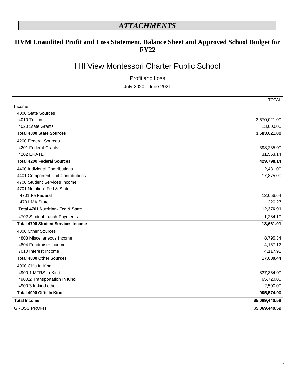## *ATTACHMENTS*

### **HVM Unaudited Profit and Loss Statement, Balance Sheet and Approved School Budget for FY22**

## Hill View Montessori Charter Public School

Profit and Loss

July 2020 - June 2021

|                                           | <b>TOTAL</b>   |
|-------------------------------------------|----------------|
| Income                                    |                |
| 4000 State Sources                        |                |
| 4010 Tuition                              | 3,670,021.00   |
| 4020 State Grants                         | 13,000.00      |
| <b>Total 4000 State Sources</b>           | 3,683,021.00   |
| 4200 Federal Sources                      |                |
| 4201 Federal Grants                       | 398,235.00     |
| 4202 ERATE                                | 31,563.14      |
| <b>Total 4200 Federal Sources</b>         | 429,798.14     |
| 4400 Individual Contributions             | 2,431.00       |
| 4401 Component Unit Contributions         | 17,875.00      |
| 4700 Student Services Income              |                |
| 4701 Nutrition- Fed & State               |                |
| 4701 Fe Federal                           | 12,056.64      |
| 4701 MA State                             | 320.27         |
| Total 4701 Nutrition- Fed & State         | 12,376.91      |
| 4702 Student Lunch Payments               | 1,284.10       |
| <b>Total 4700 Student Services Income</b> | 13,661.01      |
| 4800 Other Sources                        |                |
| 4803 Miscellaneous Income                 | 8,795.34       |
| 4804 Fundraiser Income                    | 4,167.12       |
| 7010 Interest Income                      | 4,117.98       |
| <b>Total 4800 Other Sources</b>           | 17,080.44      |
| 4900 Gifts In Kind                        |                |
| 4900.1 MTRS In-Kind                       | 837,354.00     |
| 4900.2 Transportation In Kind             | 65,720.00      |
| 4900.3 In-kind other                      | 2,500.00       |
| Total 4900 Gifts In Kind                  | 905,574.00     |
| <b>Total Income</b>                       | \$5,069,440.59 |
| <b>GROSS PROFIT</b>                       | \$5,069,440.59 |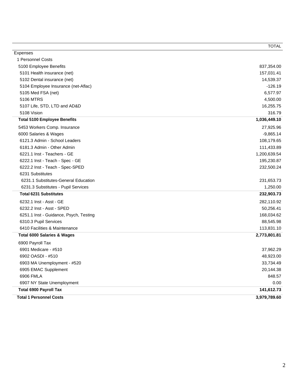|                                        | <b>TOTAL</b> |
|----------------------------------------|--------------|
| Expenses                               |              |
| 1 Personnel Costs                      |              |
| 5100 Employee Benefits                 | 837,354.00   |
| 5101 Health insurance (net)            | 157,031.41   |
| 5102 Dental insurance (net)            | 14,539.37    |
| 5104 Employee Insurance (net-Aflac)    | $-126.19$    |
| 5105 Med FSA (net)                     | 6,577.97     |
| <b>5106 MTRS</b>                       | 4,500.00     |
| 5107 Life, STD, LTD and AD&D           | 16,255.75    |
| 5108 Vision                            | 316.79       |
| <b>Total 5100 Employee Benefits</b>    | 1,036,449.10 |
| 5453 Workers Comp. Insurance           | 27,925.96    |
| 6000 Salaries & Wages                  | $-9,865.14$  |
| 6121.3 Admin - School Leaders          | 108,179.65   |
| 6181.3 Admin - Other Admin             | 111,433.89   |
| 6221.1 Inst - Teachers - GE            | 1,200,639.54 |
| 6222.1 Inst - Teach - Spec - GE        | 195,230.87   |
| 6222.2 Inst - Teach - Spec-SPED        | 232,500.24   |
| 6231 Substitutes                       |              |
| 6231.1 Substitutes-General Education   | 231,653.73   |
| 6231.3 Substitutes - Pupil Services    | 1,250.00     |
| <b>Total 6231 Substitutes</b>          | 232,903.73   |
| 6232.1 Inst - Asst - GE                | 282,110.92   |
| 6232.2 Inst - Asst - SPED              | 50,256.41    |
| 6251.1 Inst - Guidance, Psych, Testing | 168,034.62   |
| 6310.3 Pupil Services                  | 88,545.98    |
| 6410 Facilities & Maintenance          | 113,831.10   |
| <b>Total 6000 Salaries &amp; Wages</b> | 2,773,801.81 |
| 6900 Payroll Tax                       |              |
| 6901 Medicare - #510                   | 37,962.29    |
| 6902 OASDI - #510                      | 48,923.00    |
| 6903 MA Unemployment - #520            | 33,734.49    |
| 6905 EMAC Supplement                   | 20,144.38    |
| 6906 FMLA                              | 848.57       |
| 6907 NY State Unemployment             | 0.00         |
| <b>Total 6900 Payroll Tax</b>          | 141,612.73   |
| <b>Total 1 Personnel Costs</b>         | 3,979,789.60 |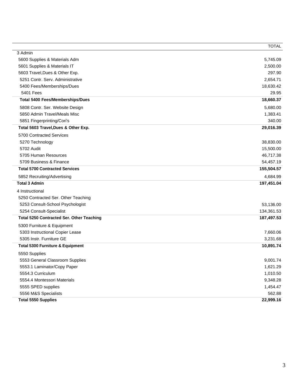|                                                  | <b>TOTAL</b> |
|--------------------------------------------------|--------------|
| 3 Admin                                          |              |
| 5600 Supplies & Materials Adm                    | 5,745.09     |
| 5601 Supplies & Materials IT                     | 2,500.00     |
| 5603 Travel, Dues & Other Exp.                   | 297.90       |
| 5251 Contr. Serv. Administrative                 | 2,654.71     |
| 5400 Fees/Memberships/Dues                       | 18,630.42    |
| 5401 Fees                                        | 29.95        |
| <b>Total 5400 Fees/Memberships/Dues</b>          | 18,660.37    |
| 5808 Contr. Ser. Website Design                  | 5,680.00     |
| 5850 Admin Travel/Meals Misc                     | 1,383.41     |
| 5851 Fingerprinting/Cori's                       | 340.00       |
| Total 5603 Travel, Dues & Other Exp.             | 29,016.39    |
| 5700 Contracted Services                         |              |
| 5270 Technology                                  | 38,830.00    |
| 5702 Audit                                       | 15,500.00    |
| 5705 Human Resources                             | 46,717.38    |
| 5709 Business & Finance                          | 54,457.19    |
| <b>Total 5700 Contracted Services</b>            | 155,504.57   |
| 5852 Recruiting/Advertising                      | 4,684.99     |
| <b>Total 3 Admin</b>                             | 197,451.04   |
| 4 Instructional                                  |              |
| 5250 Contracted Ser. Other Teaching              |              |
| 5253 Consult-School Psychologist                 | 53,136.00    |
| 5254 Consult-Specialist                          | 134,361.53   |
| <b>Total 5250 Contracted Ser. Other Teaching</b> | 187,497.53   |
| 5300 Furniture & Equipment                       |              |
| 5303 Instructional Copier Lease                  | 7,660.06     |
| 5305 Instr. Furniture GE                         | 3,231.68     |
| <b>Total 5300 Furniture &amp; Equipment</b>      | 10,891.74    |
| 5550 Supplies                                    |              |
| 5553 General Classroom Supplies                  | 9,001.74     |
| 5553.1 Laminator/Copy Paper                      | 1,621.29     |
| 5554.3 Curriculum                                | 1,010.50     |
| 5554.4 Montessori Materials                      | 9,348.28     |
| 5555 SPED supplies                               | 1,454.47     |
| 5556 M&S Specialists                             | 562.88       |
| <b>Total 5550 Supplies</b>                       | 22,999.16    |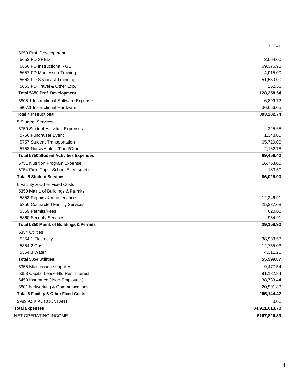|                                                 | <b>TOTAL</b>   |
|-------------------------------------------------|----------------|
| 5650 Prof. Development                          |                |
| 5653 PD SPED                                    | 3,064.00       |
| 5656 PD Instructional - GE                      | 69,376.98      |
| 5657 PD Montessori Training                     | 4,015.00       |
| 5662 PD Seacoast Trainning                      | 51,550.00      |
| 5663 PD Travel & Other Exp.                     | 252.56         |
| <b>Total 5650 Prof. Development</b>             | 128,258.54     |
| 5805.1 Instructional Software Expense           | 6,899.72       |
| 5807.1 Instructional Hardware                   | 36,656.05      |
| <b>Total 4 Instructional</b>                    | 393,202.74     |
| 5 Student Services                              |                |
| 5750 Student Activities Expenses                | 225.65         |
| 5756 Fundraiser Event                           | 1,348.00       |
| 5757 Student Transportation                     | 65,720.00      |
| 5758 Nurse/Athletic/Food/Other                  | 2,162.75       |
| <b>Total 5750 Student Activities Expenses</b>   | 69,456.40      |
| 5751 Nutrition Program Expense                  | 16,753.00      |
| 5754 Field Trips- School Events(net)            | $-183.50$      |
| <b>Total 5 Student Services</b>                 | 86,025.90      |
| 6 Facility & Other Fixed Costs                  |                |
| 5350 Maint. of Buildings & Permits              |                |
| 5353 Repairs & maintenance                      | 12,246.91      |
| 5356 Contracted Facility Services               | 25,337.08      |
| 5359 Permits/Fees                               | 620.00         |
| 5360 Security Services                          | 954.91         |
| Total 5350 Maint. of Buildings & Permits        | 39,158.90      |
| 5354 Utilities                                  |                |
| 5354.1 Electricity                              | 38,933.58      |
| 5354.2 Gas                                      | 12,755.03      |
| 5354.3 Water                                    | 4,311.26       |
| <b>Total 5354 Utilities</b>                     | 55,999.87      |
| 5355 Maintenance supplies                       | 9,477.54       |
| 5358 Capital Lease-Bld Rent Interest            | 91,182.84      |
| 5450 Insurance (Non-Employee)                   | 38,733.44      |
| 5801 Networking & Communications                | 20,591.83      |
| <b>Total 6 Facility &amp; Other Fixed Costs</b> | 255,144.42     |
| 9999 ASK ACCOUNTANT                             | 0.00           |
| <b>Total Expenses</b>                           | \$4,911,613.70 |
| NET OPERATING INCOME                            | \$157,826.89   |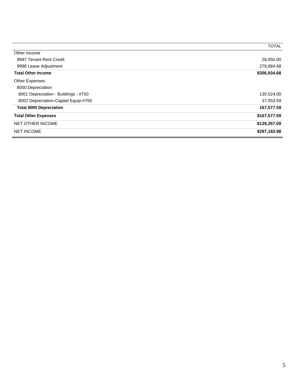|                                      | <b>TOTAL</b> |
|--------------------------------------|--------------|
| Other Income                         |              |
| 9997 Tenant Rent Credit              | 28,050.00    |
| 9998 Lease Adjustment                | 278,884.68   |
| <b>Total Other Income</b>            | \$306,934.68 |
| <b>Other Expenses</b>                |              |
| 8000 Depreciation                    |              |
| 8001 Depreciation - Buildings - #750 | 130,524.00   |
| 8002 Depreciation-Capital Equip-#750 | 37,053.59    |
| <b>Total 8000 Depreciation</b>       | 167,577.59   |
| <b>Total Other Expenses</b>          | \$167,577.59 |
| NET OTHER INCOME                     | \$139,357.09 |
| <b>NET INCOME</b>                    | \$297,183.98 |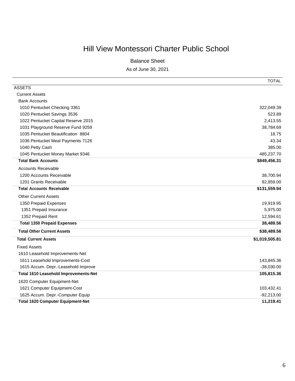# Hill View Montessori Charter Public School

Balance Sheet

As of June 30, 2021

|                                          | <b>TOTAL</b>   |
|------------------------------------------|----------------|
| <b>ASSETS</b>                            |                |
| <b>Current Assets</b>                    |                |
| <b>Bank Accounts</b>                     |                |
| 1010 Pentucket Checking 3361             | 322,049.39     |
| 1020 Pentucket Savings 3536              | 523.89         |
| 1022 Pentucket Capital Reserve 2015      | 2,413.55       |
| 1031 Playground Reserve Fund 9259        | 38,784.69      |
| 1035 Pentucket Beautification 8804       | 18.75          |
| 1036 Pentucket Meal Payments 7126        | 43.34          |
| 1040 Petty Cash                          | 385.00         |
| 1045 Pentucket Money Market 9346         | 485,237.70     |
| <b>Total Bank Accounts</b>               | \$849,456.31   |
| <b>Accounts Receivable</b>               |                |
| 1200 Accounts Receivable                 | 38,700.94      |
| 1201 Grants Receivable                   | 92,859.00      |
| <b>Total Accounts Receivable</b>         | \$131,559.94   |
| <b>Other Current Assets</b>              |                |
| 1350 Prepaid Expenses                    | 19,919.95      |
| 1351 Prepaid Insurance                   | 5,975.00       |
| 1352 Prepaid Rent                        | 12,594.61      |
| <b>Total 1350 Prepaid Expenses</b>       | 38,489.56      |
| <b>Total Other Current Assets</b>        | \$38,489.56    |
| <b>Total Current Assets</b>              | \$1,019,505.81 |
| <b>Fixed Assets</b>                      |                |
| 1610 Leasehold Improvements-Net          |                |
| 1611 Leasehold Improvements-Cost         | 143,845.36     |
| 1615 Accum. Depr.-Leasehold Improve      | $-38,030.00$   |
| Total 1610 Leasehold Improvements-Net    | 105,815.36     |
| 1620 Computer Equipment-Net              |                |
| 1621 Computer Equipment-Cost             | 103,432.41     |
| 1625 Accum. Depr.-Computer Equip         | $-92,213.00$   |
| <b>Total 1620 Computer Equipment-Net</b> | 11,219.41      |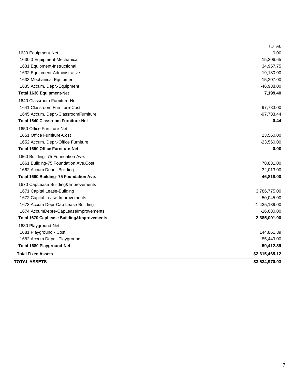| 1674 AccumDepre-CapLeaseImprovements<br><b>Total 1670 CapLease Building&amp;Improvements</b><br>1680 Playground-Net<br>1681 Playground - Cost<br>1682 Accum.Depr.- Playground | 50,045.00<br>$-1,435,139.00$<br>$-16,680.00$<br>2,385,001.00<br>144,861.39<br>$-85,449.00$ |
|-------------------------------------------------------------------------------------------------------------------------------------------------------------------------------|--------------------------------------------------------------------------------------------|
|                                                                                                                                                                               |                                                                                            |
|                                                                                                                                                                               |                                                                                            |
|                                                                                                                                                                               |                                                                                            |
|                                                                                                                                                                               |                                                                                            |
|                                                                                                                                                                               |                                                                                            |
| 1673 Accum Depr-Cap Lease Building                                                                                                                                            |                                                                                            |
| 1672 Capital Lease-Improvements                                                                                                                                               |                                                                                            |
| 1671 Capital Lease-Building                                                                                                                                                   | 3,786,775.00                                                                               |
| 1670 CapLease Building&Improvements                                                                                                                                           |                                                                                            |
| Total 1660 Building- 75 Foundation Ave.                                                                                                                                       | 46,818.00                                                                                  |
| 1662 Accum.Depr.- Building                                                                                                                                                    | $-32,013.00$                                                                               |
| 1661 Building-75 Foundation Ave.Cost                                                                                                                                          | 78,831.00                                                                                  |
| 1660 Building- 75 Foundation Ave.                                                                                                                                             |                                                                                            |
| <b>Total 1650 Office Furniture-Net</b>                                                                                                                                        | 0.00                                                                                       |
| 1652 Accum. Depr.-Office Furniture                                                                                                                                            | $-23,560.00$                                                                               |
| 1651 Office Furniture-Cost                                                                                                                                                    | 23,560.00                                                                                  |
| 1650 Office Furniture-Net                                                                                                                                                     |                                                                                            |
| <b>Total 1640 Classroom Furniture-Net</b>                                                                                                                                     | $-0.44$                                                                                    |
| 1645 Accum. Depr.-ClassroomFurniture                                                                                                                                          | $-97,783.44$                                                                               |
| 1641 Classroom Furniture-Cost                                                                                                                                                 | 97,783.00                                                                                  |
| 1640 Classroom Furniture-Net                                                                                                                                                  |                                                                                            |
| <b>Total 1630 Equipment-Net</b>                                                                                                                                               | 7,199.40                                                                                   |
| 1635 Accum. Depr.-Equipment                                                                                                                                                   | $-46,938.00$                                                                               |
| 1632 Equipment-Administrative<br>1633 Mechanical Equipment                                                                                                                    | 19,180.00<br>$-15,207.00$                                                                  |
| 1631 Equipment-Instructional                                                                                                                                                  | 34,957.75                                                                                  |
| 1630.0 Equipment-Mechanical                                                                                                                                                   | 15,206.65                                                                                  |
| 1630 Equipment-Net                                                                                                                                                            | 0.00                                                                                       |
|                                                                                                                                                                               | <b>TOTAL</b>                                                                               |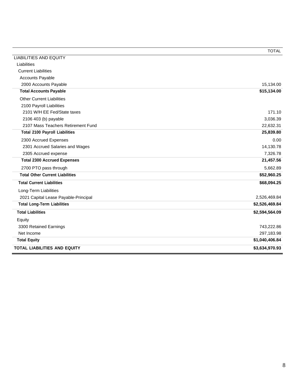|                                        | <b>TOTAL</b>   |
|----------------------------------------|----------------|
| <b>LIABILITIES AND EQUITY</b>          |                |
| Liabilities                            |                |
| <b>Current Liabilities</b>             |                |
| <b>Accounts Payable</b>                |                |
| 2000 Accounts Payable                  | 15,134.00      |
| <b>Total Accounts Payable</b>          | \$15,134.00    |
| <b>Other Current Liabilities</b>       |                |
| 2100 Payroll Liabilities               |                |
| 2101 W/H EE Fed/State taxes            | 171.10         |
| 2106 403 (b) payable                   | 3,036.39       |
| 2107 Mass Teachers Retirement Fund     | 22,632.31      |
| <b>Total 2100 Payroll Liabilities</b>  | 25,839.80      |
| 2300 Accrued Expenses                  | 0.00           |
| 2301 Accrued Salaries and Wages        | 14,130.78      |
| 2305 Accrued expense                   | 7,326.78       |
| <b>Total 2300 Accrued Expenses</b>     | 21,457.56      |
| 2700 PTO pass through                  | 5,662.89       |
| <b>Total Other Current Liabilities</b> | \$52,960.25    |
| <b>Total Current Liabilities</b>       | \$68,094.25    |
| Long-Term Liabilities                  |                |
| 2021 Capital Lease Payable-Principal   | 2,526,469.84   |
| <b>Total Long-Term Liabilities</b>     | \$2,526,469.84 |
| <b>Total Liabilities</b>               | \$2,594,564.09 |
| Equity                                 |                |
| 3300 Retained Earnings                 | 743,222.86     |
| Net Income                             | 297,183.98     |
| <b>Total Equity</b>                    | \$1,040,406.84 |
| TOTAL LIABILITIES AND EQUITY           | \$3,634,970.93 |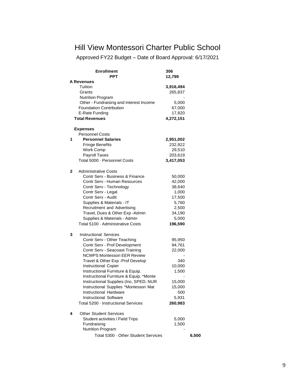## Hill View Montessori Charter Public School

Approved FY22 Budget – Date of Board Approval: 6/17/2021

| <b>Enrollment</b>                       | 306       |       |
|-----------------------------------------|-----------|-------|
| PPT                                     | 12,799    |       |
| <b>A Revenues</b>                       |           |       |
| Tuition                                 | 3,916,494 |       |
| Grants                                  | 265,837   |       |
| <b>Nutrition Program</b>                |           |       |
| Other - Fundraising and Interest Income | 5,000     |       |
| <b>Foundation Contribution</b>          | 67,000    |       |
| E-Rate Funding                          | 17,820    |       |
| <b>Total Revenues</b>                   | 4,272,151 |       |
| <b>Expenses</b>                         |           |       |
| <b>Personnel Costs</b>                  |           |       |
| <b>Personnel Salaries</b><br>1          | 2,951,002 |       |
| <b>Fringe Benefits</b>                  | 232,922   |       |
| Work Comp                               | 29,510    |       |
| <b>Payroll Taxes</b>                    | 203,619   |       |
| Total 5000 · Personnel Costs            | 3,417,053 |       |
| 2<br><b>Administrative Costs</b>        |           |       |
| Contr Serv - Business & Finance         | 50,000    |       |
| Contr Serv - Human Resources            | 42,000    |       |
| Contr Serv - Technology                 | 38,640    |       |
| Contr Serv - Legal                      | 1,000     |       |
| Contr Serv - Audit                      | 17,500    |       |
| Supplies & Materials - IT               | 5,760     |       |
| Recruitment and Advertising             | 2,500     |       |
| Travel, Dues & Other Exp - Admin        | 34,190    |       |
| Supplies & Materials - Admin            | 5,000     |       |
| Total 5100 · Administrative Costs       | 196,590   |       |
| 3<br><b>Instructional Services</b>      |           |       |
| Contr Serv - Other Teaching             | 95,950    |       |
| Contr Serv - Prof Development           | 94,761    |       |
| Contr Serv - Seacoast Training          | 22,000    |       |
| <b>NCMPS Montessori EER Review</b>      |           |       |
| Travel & Other Exp - Prof Develop       | 340       |       |
| Instructional Copier                    | 10,000    |       |
| Instructional Furniture & Equip.        | 1,500     |       |
| Instructional Furniture & Equip. *Monte |           |       |
| Instructional Supplies (Inc, SPED, NUR  | 15,000    |       |
| Instructional Supplies *Montessori Mat  | 15,000    |       |
| <b>Instructional Hardware</b>           | 500       |       |
| <b>Instructional Software</b>           | 5,931     |       |
| Total 5200 · Instructional Services     | 260,983   |       |
| <b>Other Student Services</b><br>4      |           |       |
| <b>Student activities / Field Trips</b> | 5,000     |       |
| Fundraising                             | 1,500     |       |
| <b>Nutrition Program</b>                |           |       |
| Total 5300 · Other Student Services     |           | 6,500 |